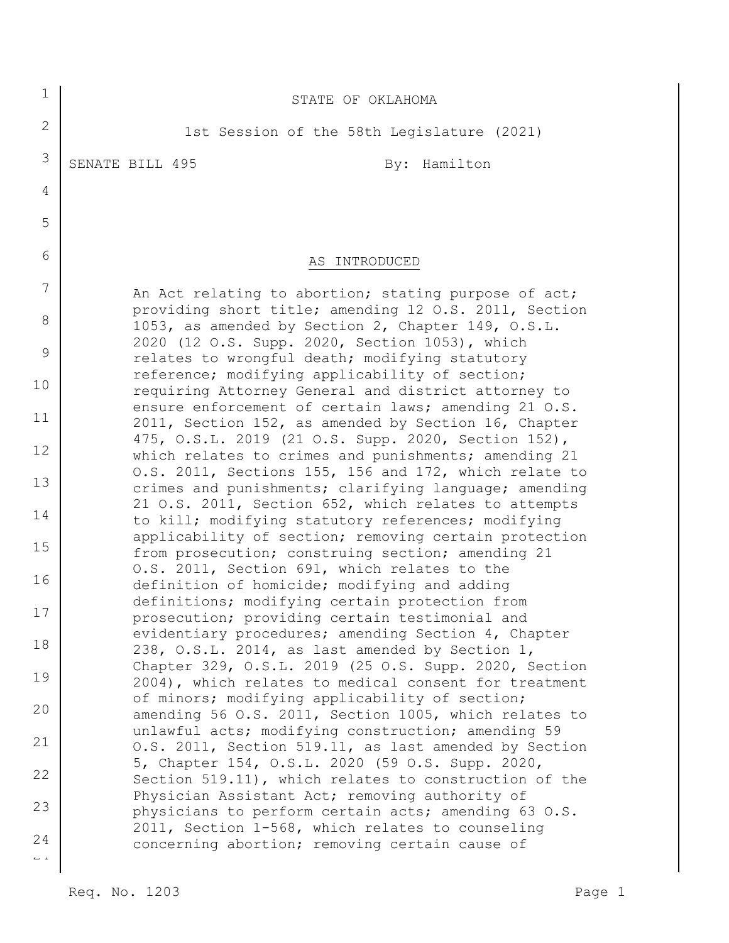| $\mathbf 1$                            | STATE OF OKLAHOMA                                                                                              |
|----------------------------------------|----------------------------------------------------------------------------------------------------------------|
| $\overline{2}$                         | 1st Session of the 58th Legislature (2021)                                                                     |
| 3                                      | SENATE BILL 495<br>By: Hamilton                                                                                |
| 4                                      |                                                                                                                |
| 5                                      |                                                                                                                |
| 6                                      | AS INTRODUCED                                                                                                  |
| 7                                      | An Act relating to abortion; stating purpose of act;                                                           |
| 8                                      | providing short title; amending 12 O.S. 2011, Section<br>1053, as amended by Section 2, Chapter 149, O.S.L.    |
| 9                                      | 2020 (12 O.S. Supp. 2020, Section 1053), which<br>relates to wrongful death; modifying statutory               |
| 10                                     | reference; modifying applicability of section;<br>requiring Attorney General and district attorney to          |
| 11                                     | ensure enforcement of certain laws; amending 21 O.S.<br>2011, Section 152, as amended by Section 16, Chapter   |
| 12                                     | 475, O.S.L. 2019 (21 O.S. Supp. 2020, Section 152),<br>which relates to crimes and punishments; amending 21    |
| 13                                     | O.S. 2011, Sections 155, 156 and 172, which relate to<br>crimes and punishments; clarifying language; amending |
| 14                                     | 21 O.S. 2011, Section 652, which relates to attempts<br>to kill; modifying statutory references; modifying     |
| 15                                     | applicability of section; removing certain protection<br>from prosecution; construing section; amending 21     |
| 16                                     | O.S. 2011, Section 691, which relates to the<br>definition of homicide; modifying and adding                   |
| 17                                     | definitions; modifying certain protection from<br>prosecution; providing certain testimonial and               |
| 18                                     | evidentiary procedures; amending Section 4, Chapter<br>238, O.S.L. 2014, as last amended by Section 1,         |
| 19                                     | Chapter 329, O.S.L. 2019 (25 O.S. Supp. 2020, Section<br>2004), which relates to medical consent for treatment |
| 20                                     | of minors; modifying applicability of section;<br>amending 56 O.S. 2011, Section 1005, which relates to        |
| 21                                     | unlawful acts; modifying construction; amending 59<br>O.S. 2011, Section 519.11, as last amended by Section    |
| 22                                     | 5, Chapter 154, O.S.L. 2020 (59 O.S. Supp. 2020,<br>Section 519.11), which relates to construction of the      |
| 23                                     | Physician Assistant Act; removing authority of<br>physicians to perform certain acts; amending 63 O.S.         |
| 24                                     | 2011, Section 1-568, which relates to counseling<br>concerning abortion; removing certain cause of             |
| $\mathbb{L}^{\mathbb{L}}$ $\mathbb{L}$ |                                                                                                                |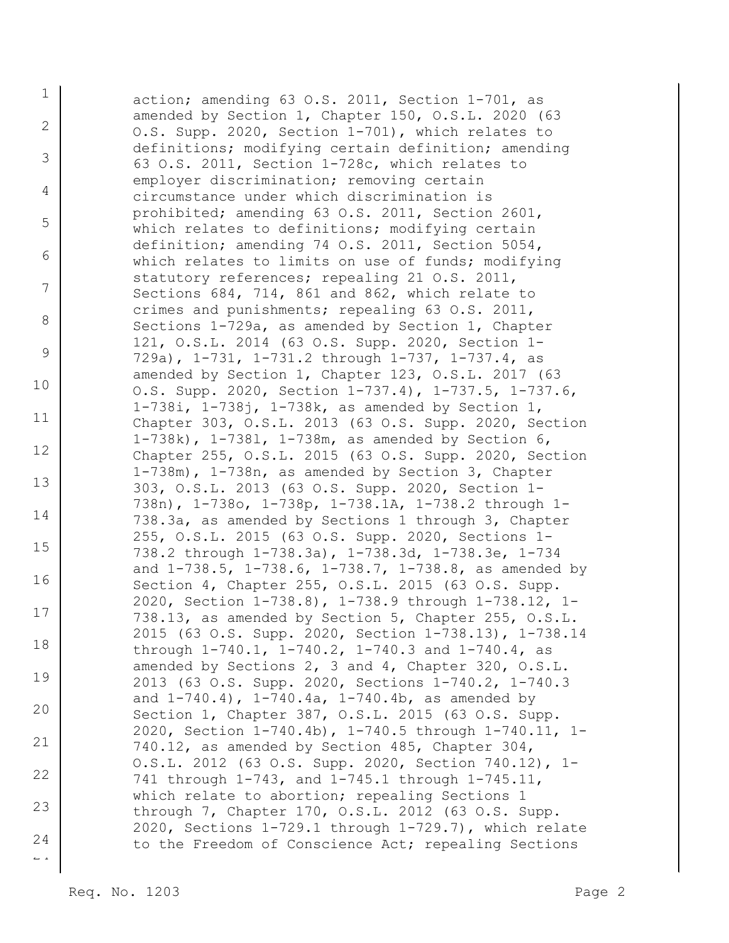1 2 3 4 5 6 7 8 9 10 11 12 13 14 15 16 17 18 19 20 21 22 23 24 action; amending 63 O.S. 2011, Section 1-701, as amended by Section 1, Chapter 150, O.S.L. 2020 (63 O.S. Supp. 2020, Section 1-701), which relates to definitions; modifying certain definition; amending 63 O.S. 2011, Section 1-728c, which relates to employer discrimination; removing certain circumstance under which discrimination is prohibited; amending 63 O.S. 2011, Section 2601, which relates to definitions; modifying certain definition; amending 74 O.S. 2011, Section 5054, which relates to limits on use of funds; modifying statutory references; repealing 21 O.S. 2011, Sections 684, 714, 861 and 862, which relate to crimes and punishments; repealing 63 O.S. 2011, Sections 1-729a, as amended by Section 1, Chapter 121, O.S.L. 2014 (63 O.S. Supp. 2020, Section 1- 729a), 1-731, 1-731.2 through 1-737, 1-737.4, as amended by Section 1, Chapter 123, O.S.L. 2017 (63 O.S. Supp. 2020, Section 1-737.4), 1-737.5, 1-737.6, 1-738i, 1-738j, 1-738k, as amended by Section 1, Chapter 303, O.S.L. 2013 (63 O.S. Supp. 2020, Section 1-738k), 1-738l, 1-738m, as amended by Section 6, Chapter 255, O.S.L. 2015 (63 O.S. Supp. 2020, Section 1-738m), 1-738n, as amended by Section 3, Chapter 303, O.S.L. 2013 (63 O.S. Supp. 2020, Section 1- 738n), 1-738o, 1-738p, 1-738.1A, 1-738.2 through 1- 738.3a, as amended by Sections 1 through 3, Chapter 255, O.S.L. 2015 (63 O.S. Supp. 2020, Sections 1- 738.2 through 1-738.3a), 1-738.3d, 1-738.3e, 1-734 and 1-738.5, 1-738.6, 1-738.7, 1-738.8, as amended by Section 4, Chapter 255, O.S.L. 2015 (63 O.S. Supp. 2020, Section 1-738.8), 1-738.9 through 1-738.12, 1- 738.13, as amended by Section 5, Chapter 255, O.S.L. 2015 (63 O.S. Supp. 2020, Section 1-738.13), 1-738.14 through 1-740.1, 1-740.2, 1-740.3 and 1-740.4, as amended by Sections 2, 3 and 4, Chapter 320, O.S.L. 2013 (63 O.S. Supp. 2020, Sections 1-740.2, 1-740.3 and 1-740.4), 1-740.4a, 1-740.4b, as amended by Section 1, Chapter 387, O.S.L. 2015 (63 O.S. Supp. 2020, Section 1-740.4b), 1-740.5 through 1-740.11, 1- 740.12, as amended by Section 485, Chapter 304, O.S.L. 2012 (63 O.S. Supp. 2020, Section 740.12), 1- 741 through 1-743, and 1-745.1 through 1-745.11, which relate to abortion; repealing Sections 1 through 7, Chapter 170, O.S.L. 2012 (63 O.S. Supp. 2020, Sections 1-729.1 through 1-729.7), which relate to the Freedom of Conscience Act; repealing Sections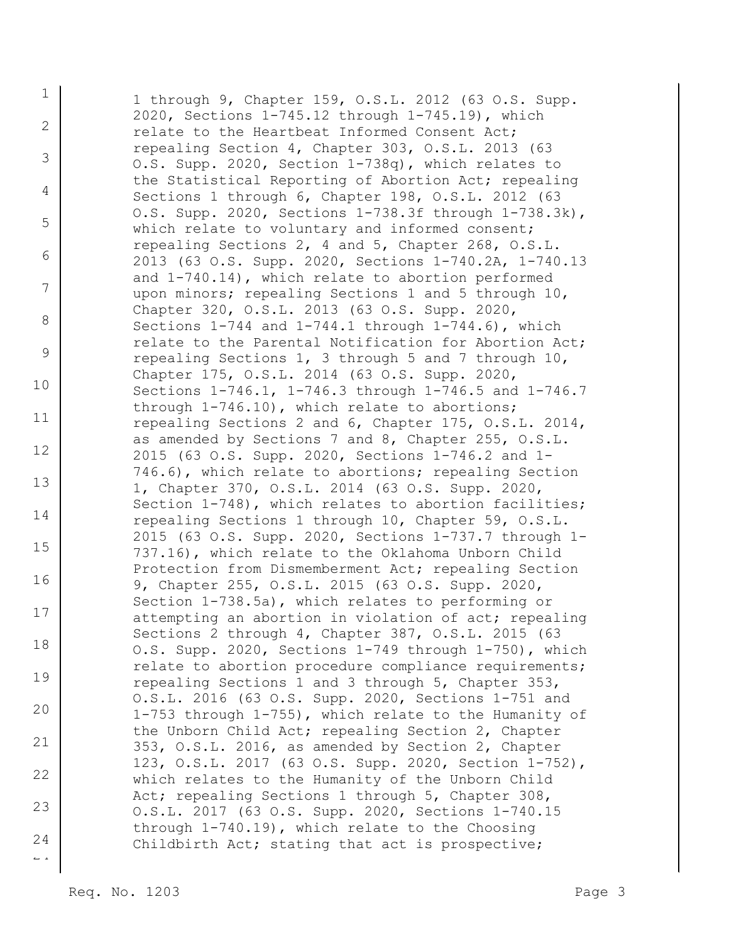1 2 3 4 5 6 7 8 9 10 11 12 13 14 15 16 17 18 19 20 21 22 23 24 1 through 9, Chapter 159, O.S.L. 2012 (63 O.S. Supp. 2020, Sections 1-745.12 through 1-745.19), which relate to the Heartbeat Informed Consent Act; repealing Section 4, Chapter 303, O.S.L. 2013 (63 O.S. Supp. 2020, Section 1-738q), which relates to the Statistical Reporting of Abortion Act; repealing Sections 1 through 6, Chapter 198, O.S.L. 2012 (63 O.S. Supp. 2020, Sections 1-738.3f through 1-738.3k), which relate to voluntary and informed consent; repealing Sections 2, 4 and 5, Chapter 268, O.S.L. 2013 (63 O.S. Supp. 2020, Sections 1-740.2A, 1-740.13 and 1-740.14), which relate to abortion performed upon minors; repealing Sections 1 and 5 through 10, Chapter 320, O.S.L. 2013 (63 O.S. Supp. 2020, Sections 1-744 and 1-744.1 through 1-744.6), which relate to the Parental Notification for Abortion Act; repealing Sections 1, 3 through 5 and 7 through 10, Chapter 175, O.S.L. 2014 (63 O.S. Supp. 2020, Sections 1-746.1, 1-746.3 through 1-746.5 and 1-746.7 through 1-746.10), which relate to abortions; repealing Sections 2 and 6, Chapter 175, O.S.L. 2014, as amended by Sections 7 and 8, Chapter 255, O.S.L. 2015 (63 O.S. Supp. 2020, Sections 1-746.2 and 1- 746.6), which relate to abortions; repealing Section 1, Chapter 370, O.S.L. 2014 (63 O.S. Supp. 2020, Section 1-748), which relates to abortion facilities; repealing Sections 1 through 10, Chapter 59, O.S.L. 2015 (63 O.S. Supp. 2020, Sections 1-737.7 through 1- 737.16), which relate to the Oklahoma Unborn Child Protection from Dismemberment Act; repealing Section 9, Chapter 255, O.S.L. 2015 (63 O.S. Supp. 2020, Section 1-738.5a), which relates to performing or attempting an abortion in violation of act; repealing Sections 2 through 4, Chapter 387, O.S.L. 2015 (63 O.S. Supp. 2020, Sections 1-749 through 1-750), which relate to abortion procedure compliance requirements; repealing Sections 1 and 3 through 5, Chapter 353, O.S.L. 2016 (63 O.S. Supp. 2020, Sections 1-751 and 1-753 through 1-755), which relate to the Humanity of the Unborn Child Act; repealing Section 2, Chapter 353, O.S.L. 2016, as amended by Section 2, Chapter 123, O.S.L. 2017 (63 O.S. Supp. 2020, Section 1-752), which relates to the Humanity of the Unborn Child Act; repealing Sections 1 through 5, Chapter 308, O.S.L. 2017 (63 O.S. Supp. 2020, Sections 1-740.15 through 1-740.19), which relate to the Choosing Childbirth Act; stating that act is prospective;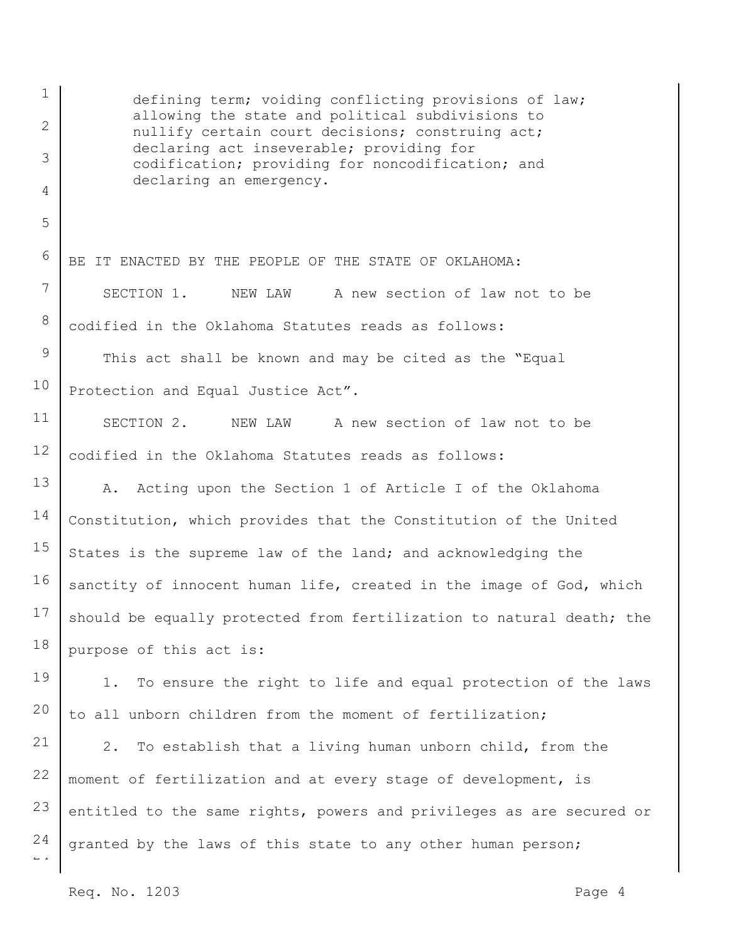1 2 3 4 5 6 7 8 9 10 11 12 13 14 15 16 17 18 19 20 21 22 23 24 defining term; voiding conflicting provisions of law; allowing the state and political subdivisions to nullify certain court decisions; construing act; declaring act inseverable; providing for codification; providing for noncodification; and declaring an emergency. BE IT ENACTED BY THE PEOPLE OF THE STATE OF OKLAHOMA: SECTION 1. NEW LAW A new section of law not to be codified in the Oklahoma Statutes reads as follows: This act shall be known and may be cited as the "Equal Protection and Equal Justice Act". SECTION 2. NEW LAW A new section of law not to be codified in the Oklahoma Statutes reads as follows: A. Acting upon the Section 1 of Article I of the Oklahoma Constitution, which provides that the Constitution of the United States is the supreme law of the land; and acknowledging the sanctity of innocent human life, created in the image of God, which should be equally protected from fertilization to natural death; the purpose of this act is: 1. To ensure the right to life and equal protection of the laws to all unborn children from the moment of fertilization; 2. To establish that a living human unborn child, from the moment of fertilization and at every stage of development, is entitled to the same rights, powers and privileges as are secured or granted by the laws of this state to any other human person;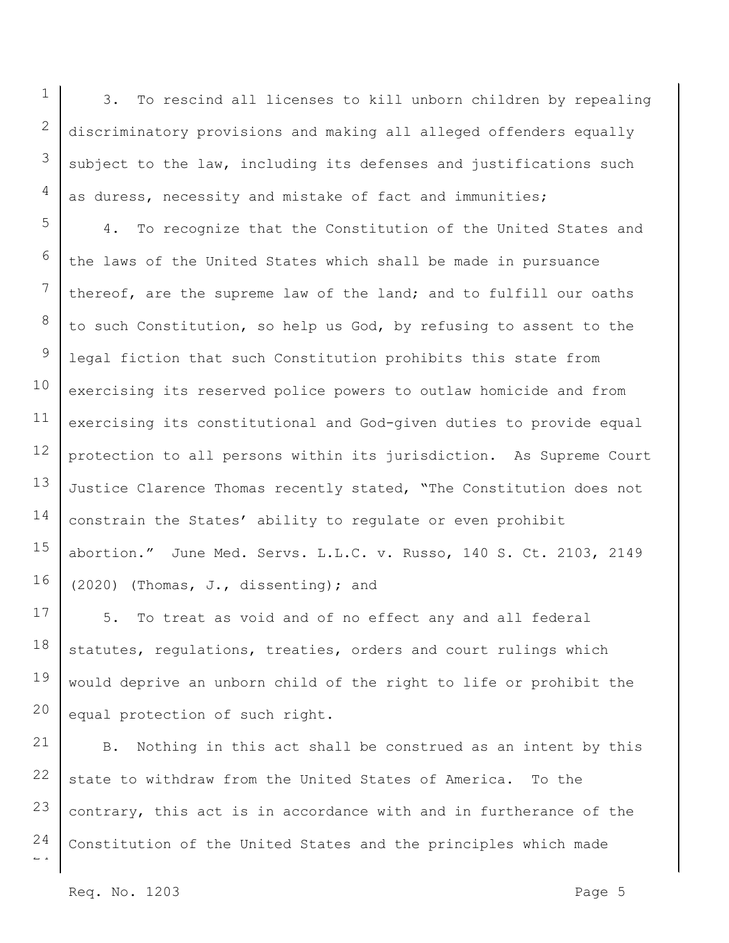1

3. To rescind all licenses to kill unborn children by repealing discriminatory provisions and making all alleged offenders equally subject to the law, including its defenses and justifications such as duress, necessity and mistake of fact and immunities;

4. To recognize that the Constitution of the United States and the laws of the United States which shall be made in pursuance thereof, are the supreme law of the land; and to fulfill our oaths to such Constitution, so help us God, by refusing to assent to the legal fiction that such Constitution prohibits this state from exercising its reserved police powers to outlaw homicide and from exercising its constitutional and God-given duties to provide equal protection to all persons within its jurisdiction. As Supreme Court Justice Clarence Thomas recently stated, "The Constitution does not constrain the States' ability to regulate or even prohibit abortion." June Med. Servs. L.L.C. v. Russo, 140 S. Ct. 2103, 2149 (2020) (Thomas, J., dissenting); and

5. To treat as void and of no effect any and all federal statutes, regulations, treaties, orders and court rulings which would deprive an unborn child of the right to life or prohibit the equal protection of such right.

B. Nothing in this act shall be construed as an intent by this state to withdraw from the United States of America. To the contrary, this act is in accordance with and in furtherance of the Constitution of the United States and the principles which made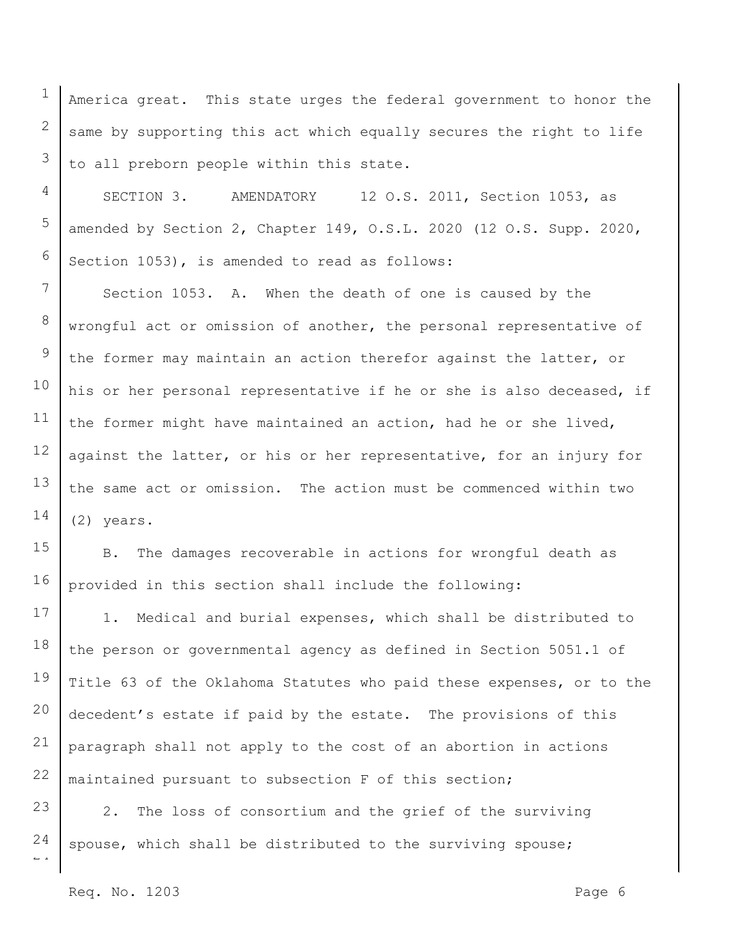America great. This state urges the federal government to honor the same by supporting this act which equally secures the right to life to all preborn people within this state.

SECTION 3. AMENDATORY 12 O.S. 2011, Section 1053, as amended by Section 2, Chapter 149, O.S.L. 2020 (12 O.S. Supp. 2020, Section 1053), is amended to read as follows:

7 8 9 10 11 12 13 14 Section 1053. A. When the death of one is caused by the wrongful act or omission of another, the personal representative of the former may maintain an action therefor against the latter, or his or her personal representative if he or she is also deceased, if the former might have maintained an action, had he or she lived, against the latter, or his or her representative, for an injury for the same act or omission. The action must be commenced within two (2) years.

15 16 B. The damages recoverable in actions for wrongful death as provided in this section shall include the following:

17 18 19 20 21 22 1. Medical and burial expenses, which shall be distributed to the person or governmental agency as defined in Section 5051.1 of Title 63 of the Oklahoma Statutes who paid these expenses, or to the decedent's estate if paid by the estate. The provisions of this paragraph shall not apply to the cost of an abortion in actions maintained pursuant to subsection F of this section;

 $\overline{a}$ 23 24 2. The loss of consortium and the grief of the surviving spouse, which shall be distributed to the surviving spouse;

1

2

3

4

5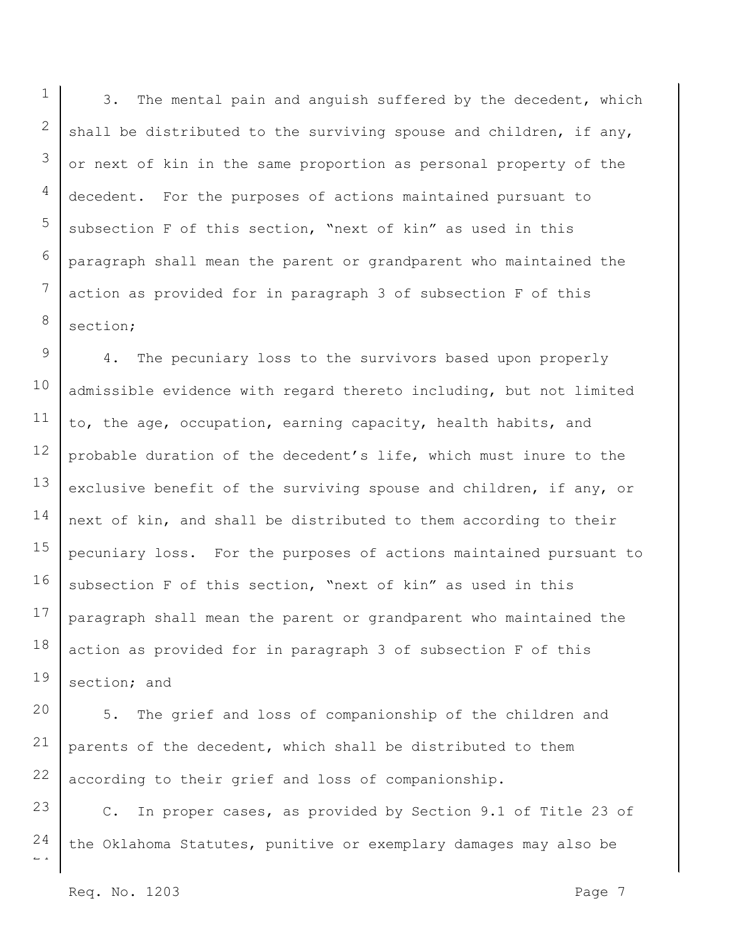3. The mental pain and anguish suffered by the decedent, which shall be distributed to the surviving spouse and children, if any, or next of kin in the same proportion as personal property of the decedent. For the purposes of actions maintained pursuant to subsection F of this section, "next of kin" as used in this paragraph shall mean the parent or grandparent who maintained the action as provided for in paragraph 3 of subsection F of this section;

9 10 11 12 13 14 15 16 17 18 19 4. The pecuniary loss to the survivors based upon properly admissible evidence with regard thereto including, but not limited to, the age, occupation, earning capacity, health habits, and probable duration of the decedent's life, which must inure to the exclusive benefit of the surviving spouse and children, if any, or next of kin, and shall be distributed to them according to their pecuniary loss. For the purposes of actions maintained pursuant to subsection F of this section, "next of kin" as used in this paragraph shall mean the parent or grandparent who maintained the action as provided for in paragraph 3 of subsection F of this section; and

20 21 22 5. The grief and loss of companionship of the children and parents of the decedent, which shall be distributed to them according to their grief and loss of companionship.

23 24 C. In proper cases, as provided by Section 9.1 of Title 23 of the Oklahoma Statutes, punitive or exemplary damages may also be

Req. No. 1203 Page 7

 $\overline{a}$ 

1

2

3

4

5

6

7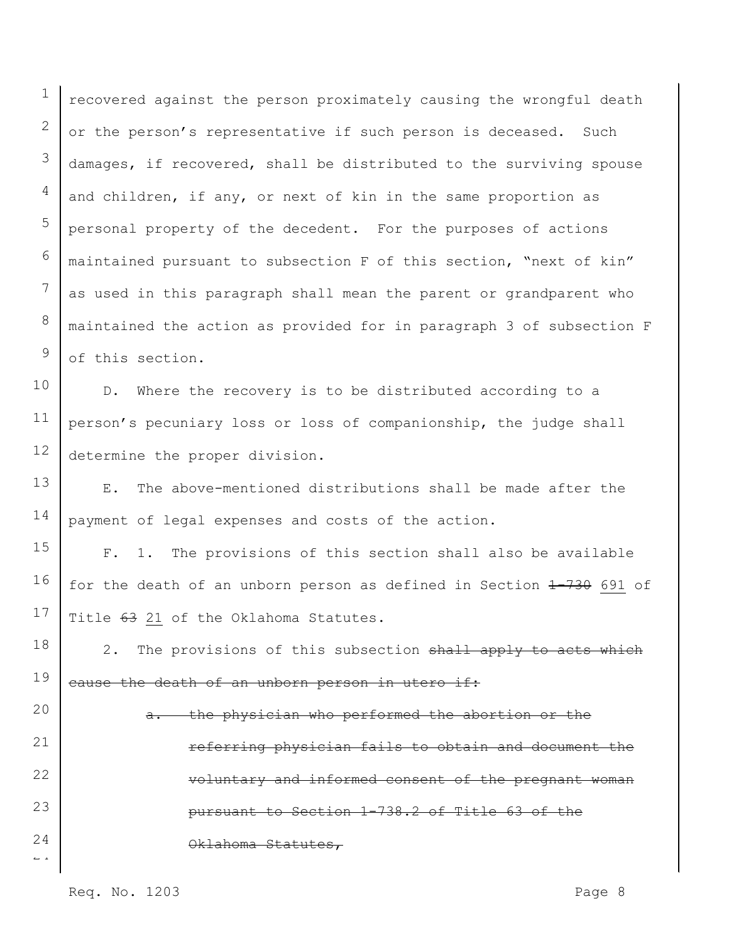1 2 3 4 5 6 7 8 9 recovered against the person proximately causing the wrongful death or the person's representative if such person is deceased. Such damages, if recovered, shall be distributed to the surviving spouse and children, if any, or next of kin in the same proportion as personal property of the decedent. For the purposes of actions maintained pursuant to subsection F of this section, "next of kin" as used in this paragraph shall mean the parent or grandparent who maintained the action as provided for in paragraph 3 of subsection F of this section.

10 11 12 D. Where the recovery is to be distributed according to a person's pecuniary loss or loss of companionship, the judge shall determine the proper division.

13 14 E. The above-mentioned distributions shall be made after the payment of legal expenses and costs of the action.

15 16 17 F. 1. The provisions of this section shall also be available for the death of an unborn person as defined in Section 1-730 691 of Title 63 21 of the Oklahoma Statutes.

18 19 2. The provisions of this subsection shall apply to acts which eause the death of an unborn person in utero if:

 $\overline{a}$ 20 21 22 23 24 a. the physician who performed the abortion or the referring physician fails to obtain and document the voluntary and informed consent of the pregnant woman pursuant to Section 1-738.2 of Title 63 of the Oklahoma Statutes,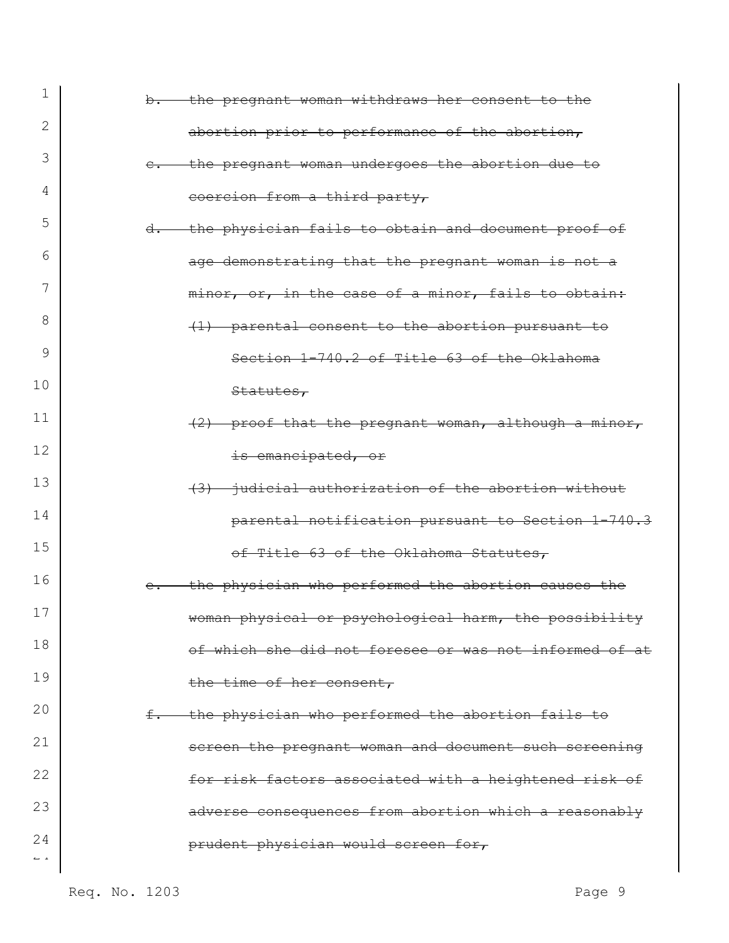| 1                    | b. the pregnant woman withdraws her consent to the           |
|----------------------|--------------------------------------------------------------|
| 2                    | abortion prior to performance of the abortion,               |
| 3                    | the pregnant woman undergoes the abortion due to             |
| 4                    | coercion from a third party,                                 |
| 5                    | the physician fails to obtain and document proof of<br>$d$ . |
| 6                    | age demonstrating that the pregnant woman is not a           |
| 7                    | minor, or, in the case of a minor, fails to obtain:          |
| 8                    | (1) parental consent to the abortion pursuant to             |
| 9                    | Section 1-740.2 of Title 63 of the Oklahoma                  |
| 10                   | Statutes,                                                    |
| 11                   | $(2)$ proof that the pregnant woman, although a minor,       |
| 12                   | is emancipated, or                                           |
| 13                   | (3) judicial authorization of the abortion without           |
| 14                   | parental notification pursuant to Section 1-740.3            |
| 15                   | of Title 63 of the Oklahoma Statutes,                        |
| 16                   | the physician who performed the abortion causes the          |
| 17                   | woman physical or psychological harm, the possibility        |
| 18                   | of which she did not foresee or was not informed of at       |
| 19                   | the time of her consent,                                     |
| 20                   | f. the physician who performed the abortion fails to         |
| 21                   | screen the pregnant woman and document such screening        |
| 22                   | for risk factors associated with a heightened risk of        |
| 23                   | adverse consequences from abortion which a reasonably        |
| 24<br>$\sim$ $^{-1}$ | prudent physician would screen for,                          |
|                      |                                                              |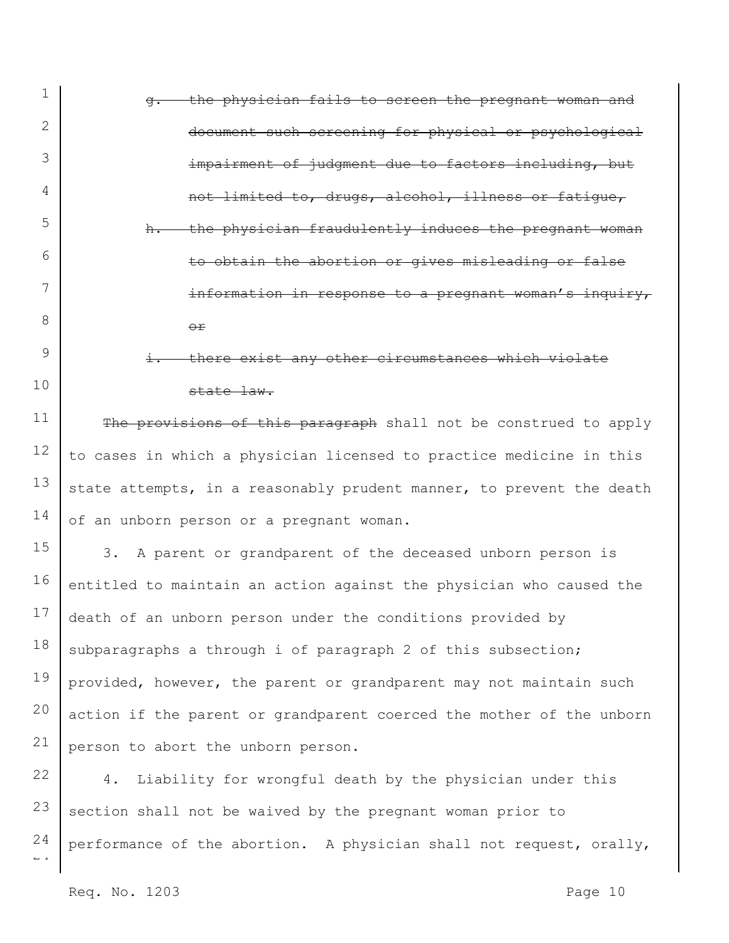| 1  | the physician fails to screen the pregnant woman and<br>$\sigma$ .   |
|----|----------------------------------------------------------------------|
| 2  | document such screening for physical or psychological                |
| 3  | impairment of judgment due to factors including, but                 |
| 4  | not limited to, drugs, alcohol, illness or fatique,                  |
| 5  | the physician fraudulently induces the pregnant woman<br>$h$ .       |
| 6  | to obtain the abortion or gives misleading or false                  |
| 7  | information in response to a pregnant woman's inquiry,               |
| 8  | $\Theta$ $\mathbf{r}$                                                |
| 9  | i. there exist any other circumstances which violate                 |
| 10 | state law.                                                           |
| 11 | The provisions of this paragraph shall not be construed to apply     |
| 12 | to cases in which a physician licensed to practice medicine in this  |
| 13 | state attempts, in a reasonably prudent manner, to prevent the death |
| 14 | of an unborn person or a pregnant woman.                             |
| 15 | 3. A parent or grandparent of the deceased unborn person is          |
| 16 | entitled to maintain an action against the physician who caused the  |
| 17 | death of an unborn person under the conditions provided by           |
| 18 | subparagraphs a through i of paragraph 2 of this subsection;         |
| 19 | provided, however, the parent or grandparent may not maintain such   |
| 20 | action if the parent or grandparent coerced the mother of the unborn |
| 21 | person to abort the unborn person.                                   |
| 22 | Liability for wrongful death by the physician under this<br>4.       |

 $\sim$   $\sim$ 23 24 section shall not be waived by the pregnant woman prior to performance of the abortion. A physician shall not request, orally,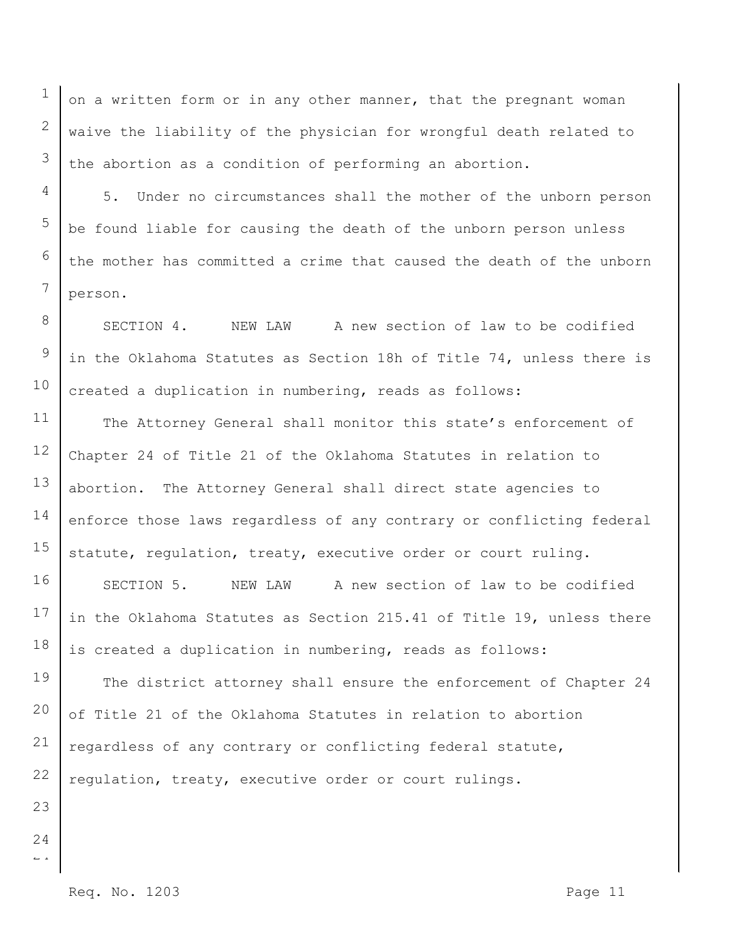on a written form or in any other manner, that the pregnant woman waive the liability of the physician for wrongful death related to the abortion as a condition of performing an abortion.

5. Under no circumstances shall the mother of the unborn person be found liable for causing the death of the unborn person unless the mother has committed a crime that caused the death of the unborn person.

SECTION 4. NEW LAW A new section of law to be codified in the Oklahoma Statutes as Section 18h of Title 74, unless there is created a duplication in numbering, reads as follows:

11 12 13 14 15 The Attorney General shall monitor this state's enforcement of Chapter 24 of Title 21 of the Oklahoma Statutes in relation to abortion. The Attorney General shall direct state agencies to enforce those laws regardless of any contrary or conflicting federal statute, regulation, treaty, executive order or court ruling.

16 17 18 SECTION 5. NEW LAW A new section of law to be codified in the Oklahoma Statutes as Section 215.41 of Title 19, unless there is created a duplication in numbering, reads as follows:

19 20 21 22 The district attorney shall ensure the enforcement of Chapter 24 of Title 21 of the Oklahoma Statutes in relation to abortion regardless of any contrary or conflicting federal statute, regulation, treaty, executive order or court rulings.

23 24

1

2

3

4

5

6

7

8

9

10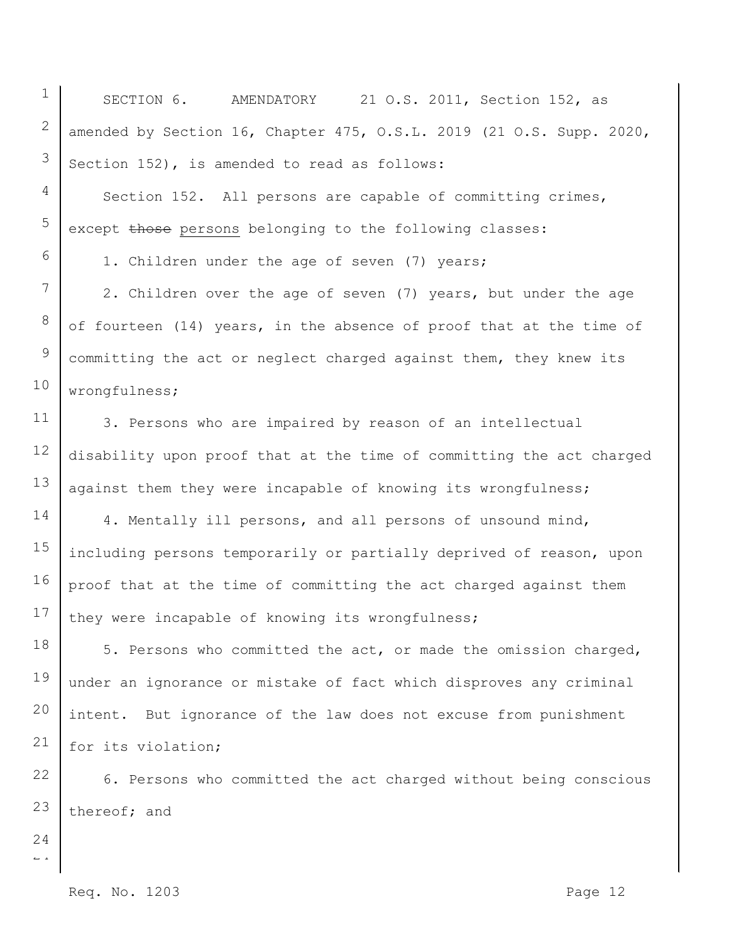1 SECTION 6. AMENDATORY 21 O.S. 2011, Section 152, as amended by Section 16, Chapter 475, O.S.L. 2019 (21 O.S. Supp. 2020, Section 152), is amended to read as follows:

Section 152. All persons are capable of committing crimes, except those persons belonging to the following classes:

1. Children under the age of seven (7) years;

2. Children over the age of seven (7) years, but under the age of fourteen (14) years, in the absence of proof that at the time of committing the act or neglect charged against them, they knew its wrongfulness;

3. Persons who are impaired by reason of an intellectual disability upon proof that at the time of committing the act charged against them they were incapable of knowing its wrongfulness;

14 15 16 17 4. Mentally ill persons, and all persons of unsound mind, including persons temporarily or partially deprived of reason, upon proof that at the time of committing the act charged against them they were incapable of knowing its wrongfulness;

18 19 20 21 5. Persons who committed the act, or made the omission charged, under an ignorance or mistake of fact which disproves any criminal intent. But ignorance of the law does not excuse from punishment for its violation;

22 23 6. Persons who committed the act charged without being conscious thereof; and

 $\overline{a}$ 24

2

3

4

5

6

7

8

9

10

11

12

13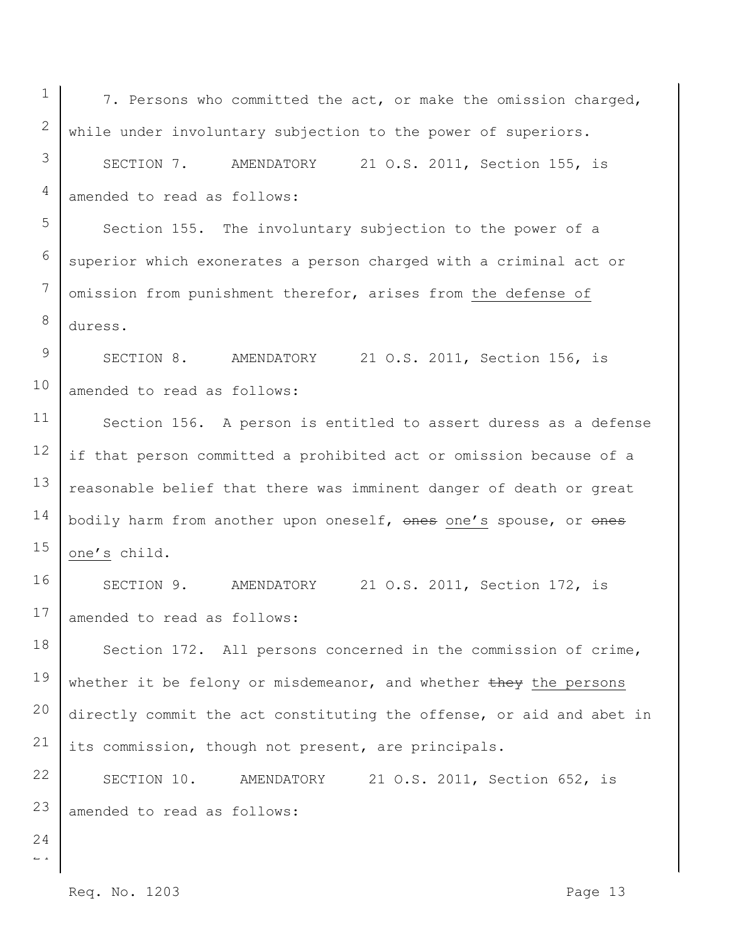1

 $\overline{a}$ 

7. Persons who committed the act, or make the omission charged, while under involuntary subjection to the power of superiors.

SECTION 7. AMENDATORY 21 O.S. 2011, Section 155, is amended to read as follows:

Section 155. The involuntary subjection to the power of a superior which exonerates a person charged with a criminal act or omission from punishment therefor, arises from the defense of duress.

SECTION 8. AMENDATORY 21 O.S. 2011, Section 156, is amended to read as follows:

Section 156. A person is entitled to assert duress as a defense if that person committed a prohibited act or omission because of a reasonable belief that there was imminent danger of death or great bodily harm from another upon oneself, ones one's spouse, or ones one's child.

SECTION 9. AMENDATORY 21 O.S. 2011, Section 172, is amended to read as follows:

Section 172. All persons concerned in the commission of crime, whether it be felony or misdemeanor, and whether they the persons directly commit the act constituting the offense, or aid and abet in its commission, though not present, are principals.

SECTION 10. AMENDATORY 21 O.S. 2011, Section 652, is amended to read as follows: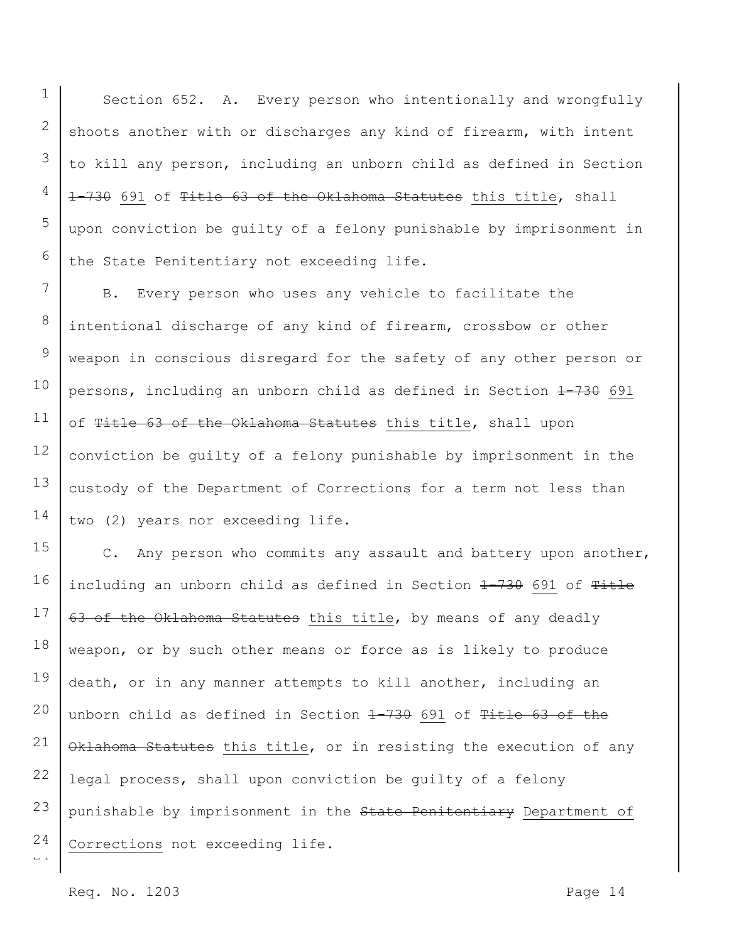1 Section 652. A. Every person who intentionally and wrongfully shoots another with or discharges any kind of firearm, with intent to kill any person, including an unborn child as defined in Section 1-730 691 of Title 63 of the Oklahoma Statutes this title, shall upon conviction be guilty of a felony punishable by imprisonment in the State Penitentiary not exceeding life.

7 8 9 10 11 12 13 14 B. Every person who uses any vehicle to facilitate the intentional discharge of any kind of firearm, crossbow or other weapon in conscious disregard for the safety of any other person or persons, including an unborn child as defined in Section 4-730 691 of Title 63 of the Oklahoma Statutes this title, shall upon conviction be guilty of a felony punishable by imprisonment in the custody of the Department of Corrections for a term not less than two (2) years nor exceeding life.

15 16 17 18 19 20 21 22 23 24 C. Any person who commits any assault and battery upon another, including an unborn child as defined in Section 1-730 691 of Title 63 of the Oklahoma Statutes this title, by means of any deadly weapon, or by such other means or force as is likely to produce death, or in any manner attempts to kill another, including an unborn child as defined in Section 1-730 691 of Title 63 of the Oklahoma Statutes this title, or in resisting the execution of any legal process, shall upon conviction be guilty of a felony punishable by imprisonment in the State Penitentiary Department of Corrections not exceeding life.

Req. No. 1203 Page 14

 $\overline{a}$ 

2

3

4

5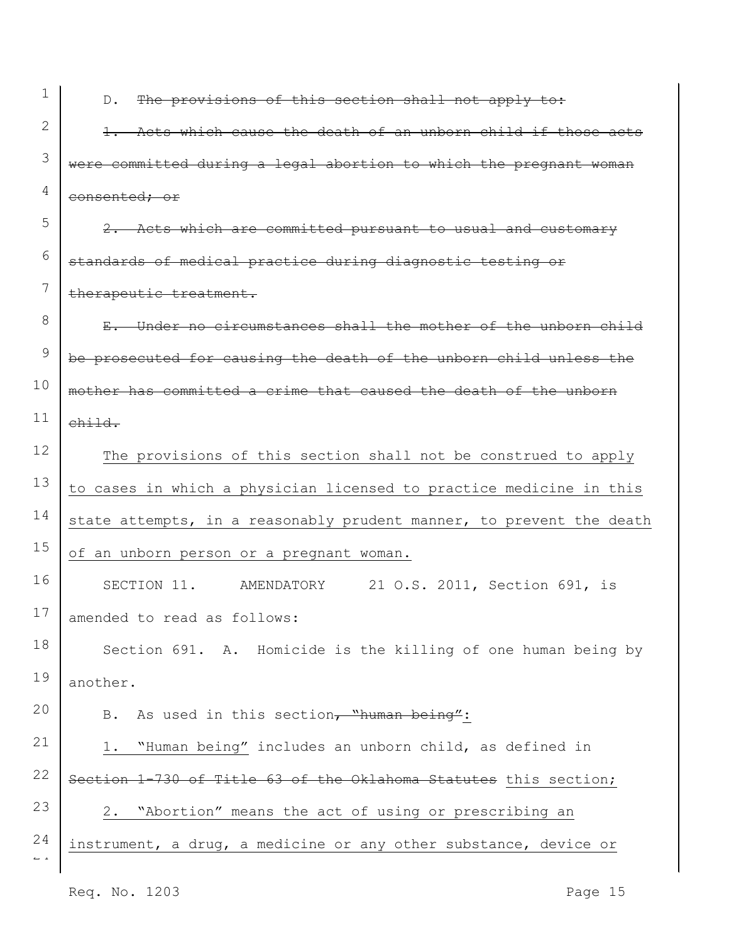1 2

3

4

5

6

7

20

D. The provisions of this section shall not apply to:

1. Acts which cause the death of an unborn child if those acts were committed during a legal abortion to which the pregnant woman consented; or

2. Acts which are committed pursuant to usual and customary standards of medical practice during diagnostic testing or therapeutic treatment.

8 9 10 11 E. Under no circumstances shall the mother of the unborn child be prosecuted for causing the death of the unborn child unless the mother has committed a crime that caused the death of the unborn child.

12 13 14 15 The provisions of this section shall not be construed to apply to cases in which a physician licensed to practice medicine in this state attempts, in a reasonably prudent manner, to prevent the death of an unborn person or a pregnant woman.

16 17 SECTION 11. AMENDATORY 21 O.S. 2011, Section 691, is amended to read as follows:

18 19 Section 691. A. Homicide is the killing of one human being by another.

B. As used in this section, "human being":

 $\overline{a}$ 21 22 23 24 1. "Human being" includes an unborn child, as defined in Section 1-730 of Title 63 of the Oklahoma Statutes this section; 2. "Abortion" means the act of using or prescribing an instrument, a drug, a medicine or any other substance, device or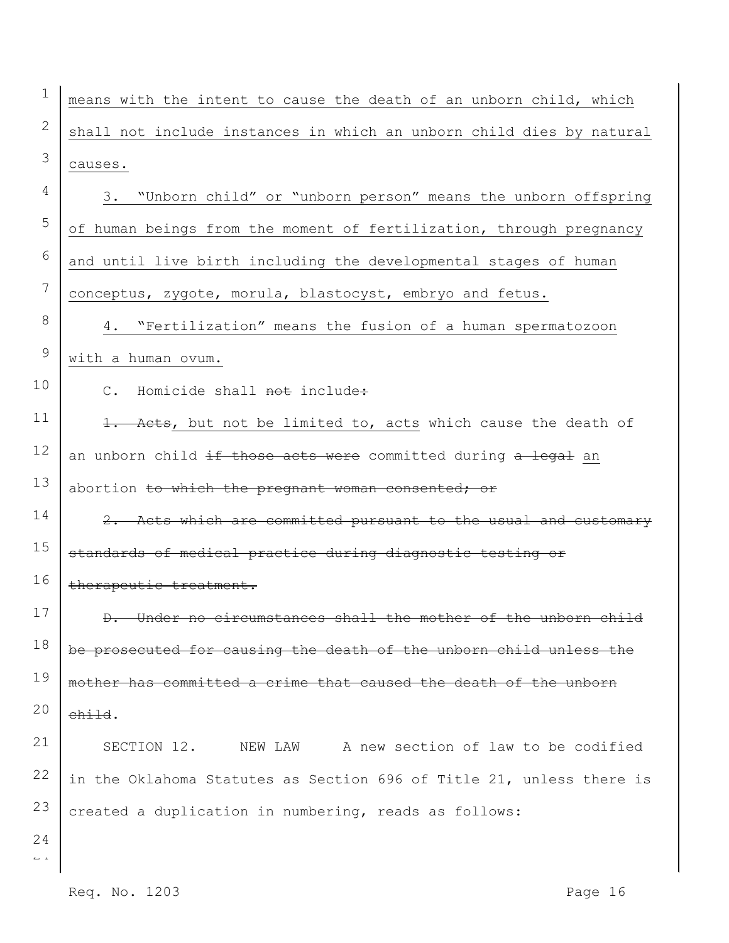$\overline{a}$ 2 3 4 5 6 7 8 9 10 11 12 13 14 15 16 17 18 19 20 21 22 23 24 means with the intent to cause the death of an unborn child, which shall not include instances in which an unborn child dies by natural causes. 3. "Unborn child" or "unborn person" means the unborn offspring of human beings from the moment of fertilization, through pregnancy and until live birth including the developmental stages of human conceptus, zygote, morula, blastocyst, embryo and fetus. 4. "Fertilization" means the fusion of a human spermatozoon with a human ovum. C. Homicide shall not include: 1. Acts, but not be limited to, acts which cause the death of an unborn child if those acts were committed during a legal an abortion to which the pregnant woman consented; or 2. Acts which are committed pursuant to the usual and customary standards of medical practice during diagnostic testing or therapeutic treatment. D. Under no circumstances shall the mother of the unborn child be prosecuted for causing the death of the unborn child unless the mother has committed a crime that caused the death of the unborn child. SECTION 12. NEW LAW A new section of law to be codified in the Oklahoma Statutes as Section 696 of Title 21, unless there is created a duplication in numbering, reads as follows: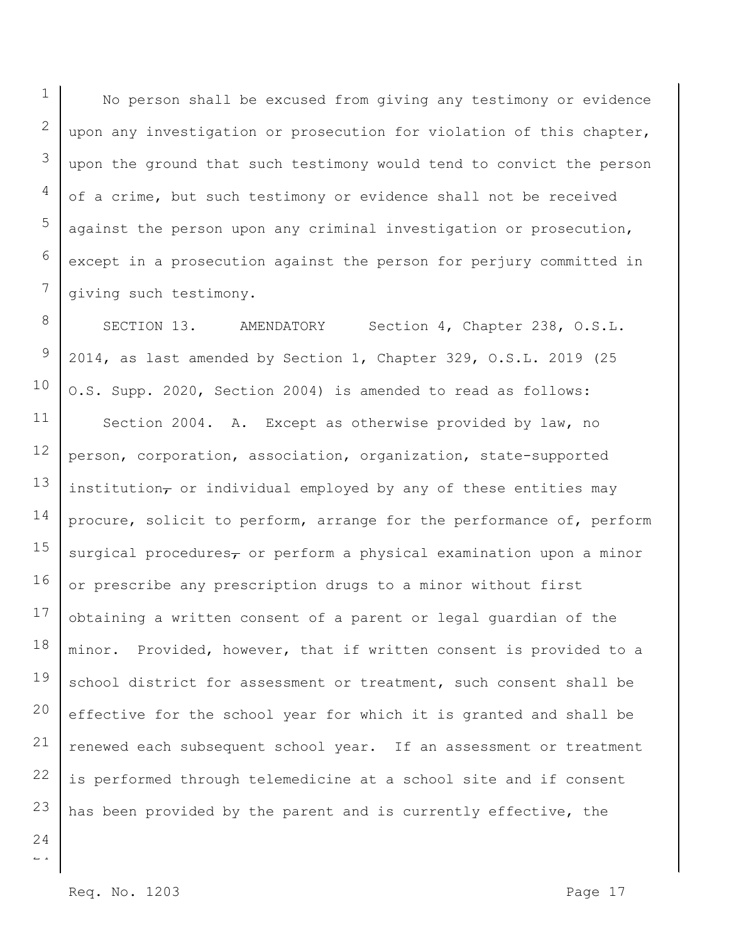No person shall be excused from giving any testimony or evidence upon any investigation or prosecution for violation of this chapter, upon the ground that such testimony would tend to convict the person of a crime, but such testimony or evidence shall not be received against the person upon any criminal investigation or prosecution, except in a prosecution against the person for perjury committed in giving such testimony.

8 9 10 11 12 13 14 15 16 17 18 19 20 21 22 23 SECTION 13. AMENDATORY Section 4, Chapter 238, O.S.L. 2014, as last amended by Section 1, Chapter 329, O.S.L. 2019 (25 O.S. Supp. 2020, Section 2004) is amended to read as follows: Section 2004. A. Except as otherwise provided by law, no person, corporation, association, organization, state-supported institution $_{\tau}$  or individual employed by any of these entities may procure, solicit to perform, arrange for the performance of, perform surgical procedures $<sub>\tau</sub>$  or perform a physical examination upon a minor</sub> or prescribe any prescription drugs to a minor without first obtaining a written consent of a parent or legal guardian of the minor. Provided, however, that if written consent is provided to a school district for assessment or treatment, such consent shall be effective for the school year for which it is granted and shall be renewed each subsequent school year. If an assessment or treatment is performed through telemedicine at a school site and if consent has been provided by the parent and is currently effective, the

 $\overline{a}$ 24

1

2

3

4

5

6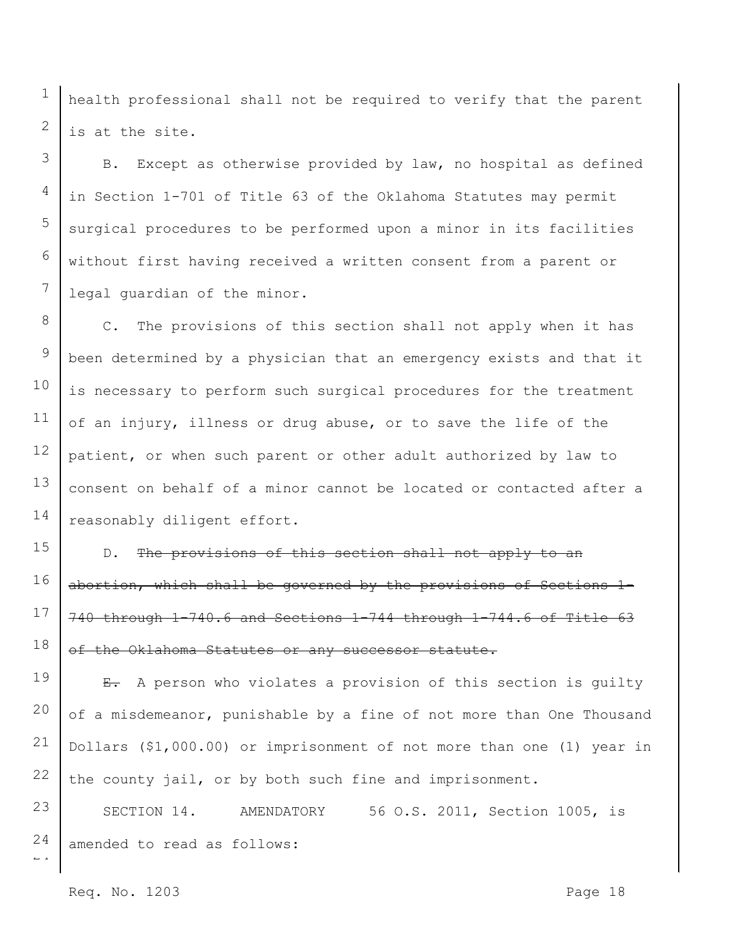health professional shall not be required to verify that the parent is at the site.

B. Except as otherwise provided by law, no hospital as defined in Section 1-701 of Title 63 of the Oklahoma Statutes may permit surgical procedures to be performed upon a minor in its facilities without first having received a written consent from a parent or legal guardian of the minor.

8 9 10 11 12 13 14 C. The provisions of this section shall not apply when it has been determined by a physician that an emergency exists and that it is necessary to perform such surgical procedures for the treatment of an injury, illness or drug abuse, or to save the life of the patient, or when such parent or other adult authorized by law to consent on behalf of a minor cannot be located or contacted after a reasonably diligent effort.

15 16 17 18 D. The provisions of this section shall not apply to an abortion, which shall be governed by the provisions of Sections 1- 740 through 1-740.6 and Sections 1-744 through 1-744.6 of Title 63 of the Oklahoma Statutes or any successor statute.

19 20 21 22 E. A person who violates a provision of this section is guilty of a misdemeanor, punishable by a fine of not more than One Thousand Dollars (\$1,000.00) or imprisonment of not more than one (1) year in the county jail, or by both such fine and imprisonment.

 $\overline{a}$ 23 24 SECTION 14. AMENDATORY 56 O.S. 2011, Section 1005, is amended to read as follows:

Req. No. 1203 Page 18

1

2

3

4

5

6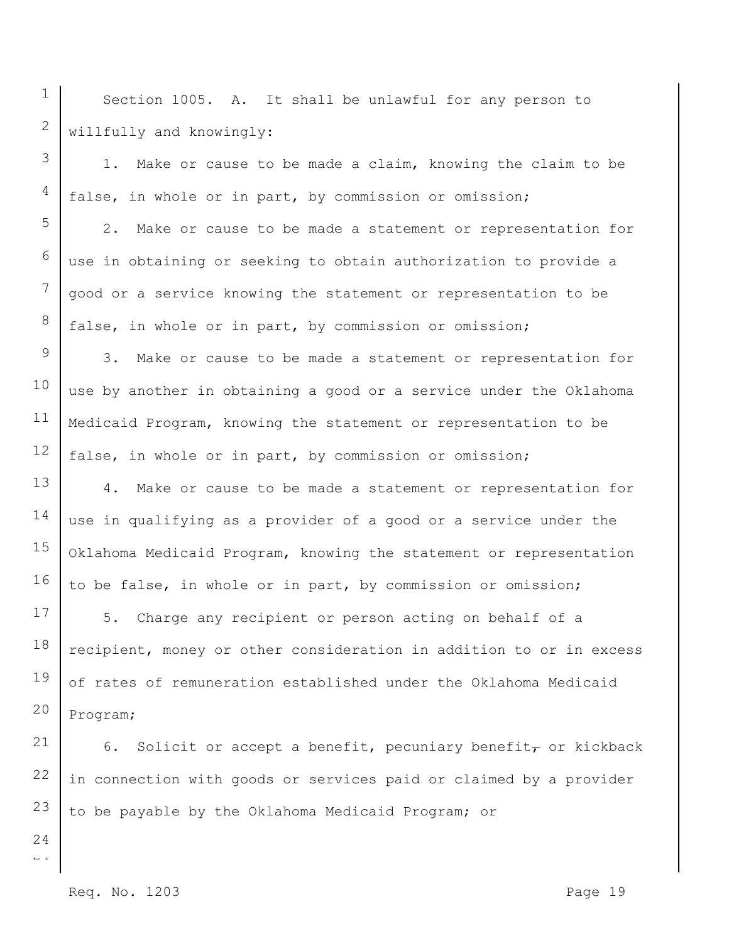Section 1005. A. It shall be unlawful for any person to willfully and knowingly:

1. Make or cause to be made a claim, knowing the claim to be false, in whole or in part, by commission or omission;

2. Make or cause to be made a statement or representation for use in obtaining or seeking to obtain authorization to provide a good or a service knowing the statement or representation to be false, in whole or in part, by commission or omission;

9 10 11 12 3. Make or cause to be made a statement or representation for use by another in obtaining a good or a service under the Oklahoma Medicaid Program, knowing the statement or representation to be false, in whole or in part, by commission or omission;

13 14 15 16 4. Make or cause to be made a statement or representation for use in qualifying as a provider of a good or a service under the Oklahoma Medicaid Program, knowing the statement or representation to be false, in whole or in part, by commission or omission;

17 18 19 20 5. Charge any recipient or person acting on behalf of a recipient, money or other consideration in addition to or in excess of rates of remuneration established under the Oklahoma Medicaid Program;

21 22 6. Solicit or accept a benefit, pecuniary benefit, or kickback in connection with goods or services paid or claimed by a provider to be payable by the Oklahoma Medicaid Program; or

 $\overline{a}$ 23 24

1

2

3

4

5

6

7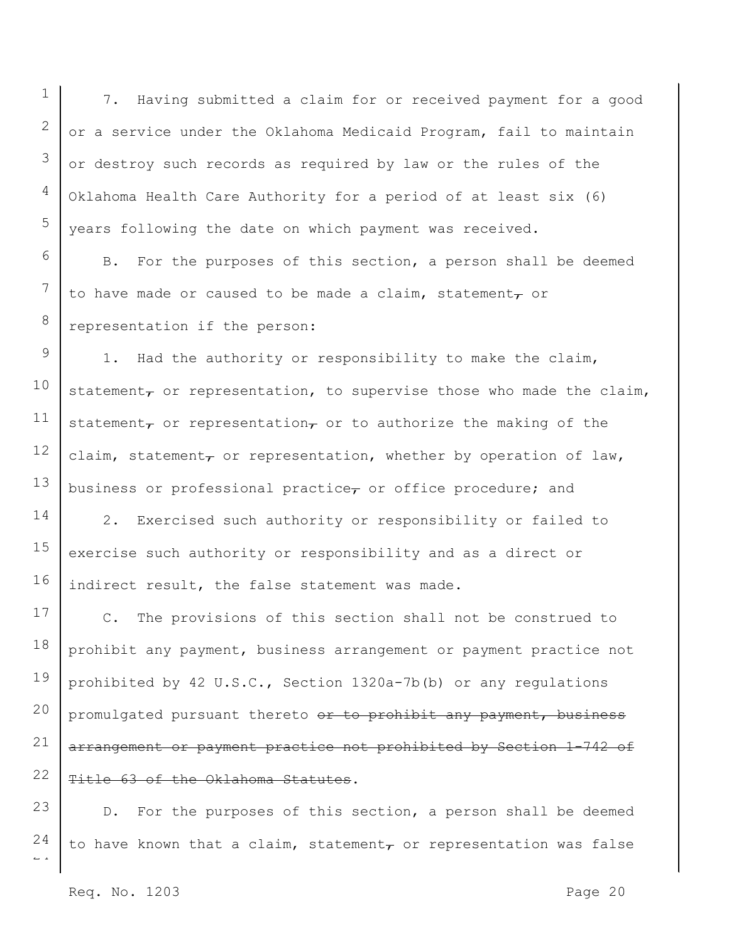7. Having submitted a claim for or received payment for a good or a service under the Oklahoma Medicaid Program, fail to maintain or destroy such records as required by law or the rules of the Oklahoma Health Care Authority for a period of at least six (6) years following the date on which payment was received.

B. For the purposes of this section, a person shall be deemed to have made or caused to be made a claim, statement $_{\tau}$  or representation if the person:

9 10 11 12 13 1. Had the authority or responsibility to make the claim, statement $_{\tau}$  or representation, to supervise those who made the claim, statement $_{\tau}$  or representation $_{\tau}$  or to authorize the making of the claim, statement, or representation, whether by operation of law, business or professional practice $_{\tau}$  or office procedure; and

14 15 16 2. Exercised such authority or responsibility or failed to exercise such authority or responsibility and as a direct or indirect result, the false statement was made.

17 18 19 20 21 22 C. The provisions of this section shall not be construed to prohibit any payment, business arrangement or payment practice not prohibited by 42 U.S.C., Section 1320a-7b(b) or any regulations promulgated pursuant thereto or to prohibit any payment, business arrangement or payment practice not prohibited by Section 1-742 of Title 63 of the Oklahoma Statutes.

 $\overline{a}$ 23 24 D. For the purposes of this section, a person shall be deemed to have known that a claim, statement $_{\tau}$  or representation was false

1

2

3

4

5

6

7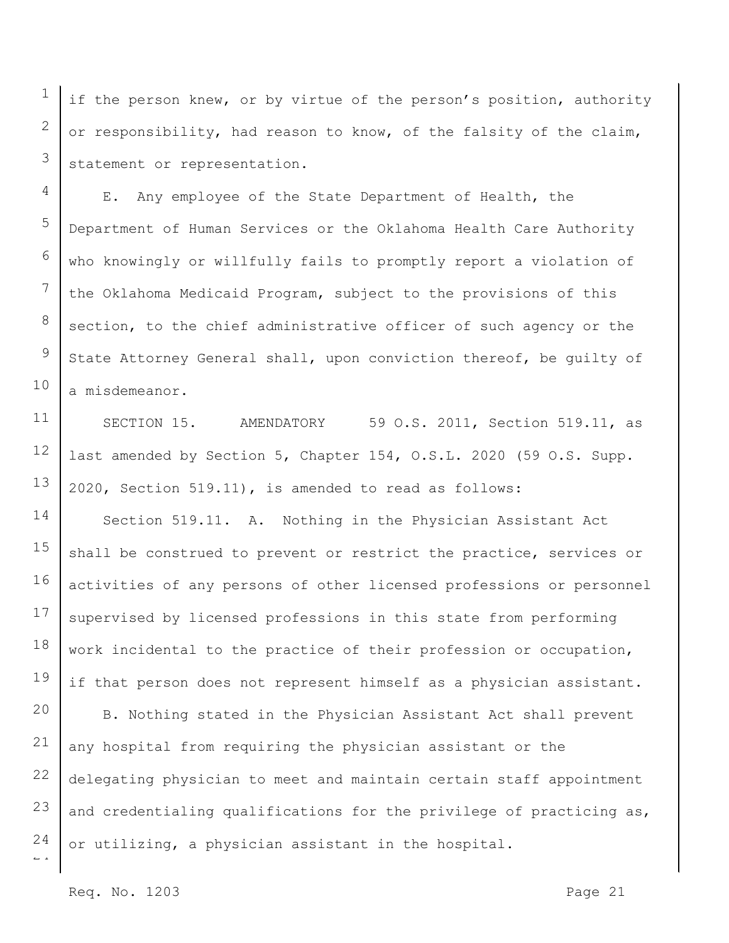if the person knew, or by virtue of the person's position, authority or responsibility, had reason to know, of the falsity of the claim, statement or representation.

E. Any employee of the State Department of Health, the Department of Human Services or the Oklahoma Health Care Authority who knowingly or willfully fails to promptly report a violation of the Oklahoma Medicaid Program, subject to the provisions of this section, to the chief administrative officer of such agency or the State Attorney General shall, upon conviction thereof, be guilty of a misdemeanor.

SECTION 15. AMENDATORY 59 O.S. 2011, Section 519.11, as last amended by Section 5, Chapter 154, O.S.L. 2020 (59 O.S. Supp. 2020, Section 519.11), is amended to read as follows:

14 15 16 17 18 19 Section 519.11. A. Nothing in the Physician Assistant Act shall be construed to prevent or restrict the practice, services or activities of any persons of other licensed professions or personnel supervised by licensed professions in this state from performing work incidental to the practice of their profession or occupation, if that person does not represent himself as a physician assistant.

 $\overline{a}$ 20 21 22 23 24 B. Nothing stated in the Physician Assistant Act shall prevent any hospital from requiring the physician assistant or the delegating physician to meet and maintain certain staff appointment and credentialing qualifications for the privilege of practicing as, or utilizing, a physician assistant in the hospital.

Req. No. 1203 **Page 21** 

1

2

3

4

5

6

7

8

9

10

11

12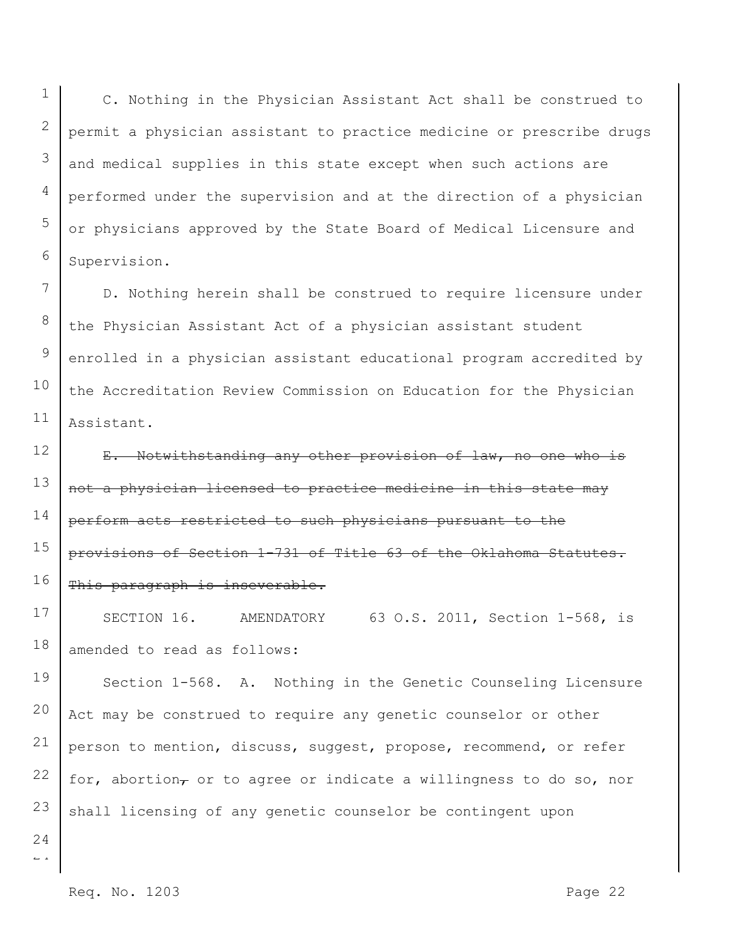C. Nothing in the Physician Assistant Act shall be construed to permit a physician assistant to practice medicine or prescribe drugs and medical supplies in this state except when such actions are performed under the supervision and at the direction of a physician or physicians approved by the State Board of Medical Licensure and Supervision.

7 8 10 11 D. Nothing herein shall be construed to require licensure under the Physician Assistant Act of a physician assistant student enrolled in a physician assistant educational program accredited by the Accreditation Review Commission on Education for the Physician Assistant.

12 13 14 15 16 E. Notwithstanding any other provision of law, no one who is not a physician licensed to practice medicine in this state may perform acts restricted to such physicians pursuant to the provisions of Section 1-731 of Title 63 of the Oklahoma Statutes. This paragraph is inseverable.

17 18 SECTION 16. AMENDATORY 63 O.S. 2011, Section 1-568, is amended to read as follows:

19 20 21 22 23 Section 1-568. A. Nothing in the Genetic Counseling Licensure Act may be construed to require any genetic counselor or other person to mention, discuss, suggest, propose, recommend, or refer for, abortion $_{\tau}$  or to agree or indicate a willingness to do so, nor shall licensing of any genetic counselor be contingent upon

 $\overline{a}$ 24

1

2

3

4

5

6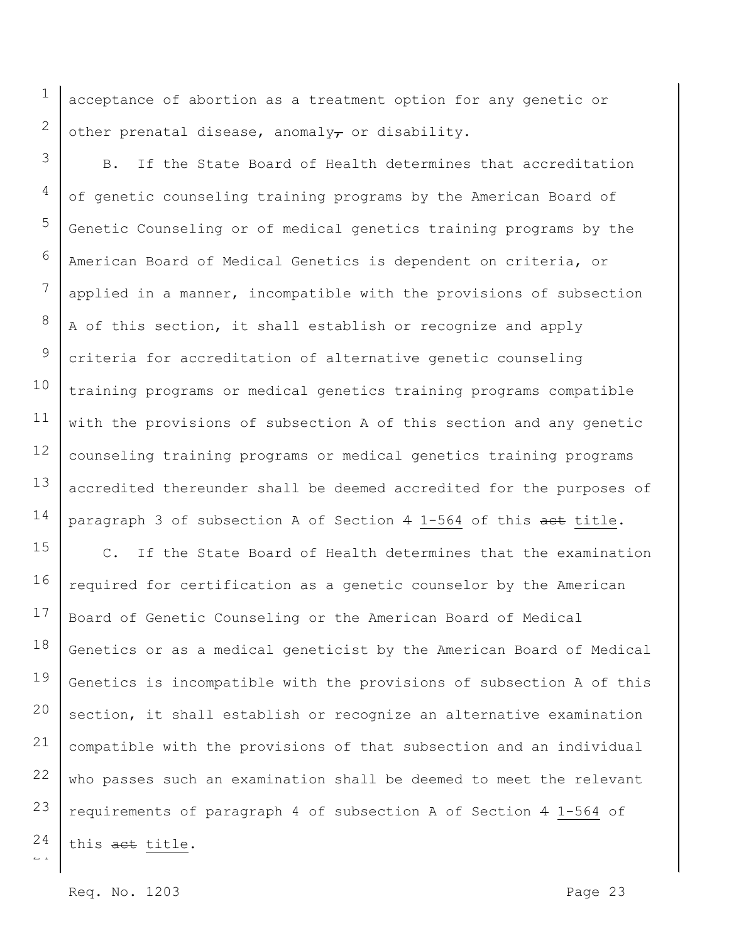acceptance of abortion as a treatment option for any genetic or other prenatal disease, anomaly $\tau$  or disability.

3 4 5 6 7 8 9 10 11 12 13 14 B. If the State Board of Health determines that accreditation of genetic counseling training programs by the American Board of Genetic Counseling or of medical genetics training programs by the American Board of Medical Genetics is dependent on criteria, or applied in a manner, incompatible with the provisions of subsection A of this section, it shall establish or recognize and apply criteria for accreditation of alternative genetic counseling training programs or medical genetics training programs compatible with the provisions of subsection A of this section and any genetic counseling training programs or medical genetics training programs accredited thereunder shall be deemed accredited for the purposes of paragraph 3 of subsection A of Section 4 1-564 of this act title.

 $\overline{a}$ 15 16 17 18 19 20 21 22 23 24 C. If the State Board of Health determines that the examination required for certification as a genetic counselor by the American Board of Genetic Counseling or the American Board of Medical Genetics or as a medical geneticist by the American Board of Medical Genetics is incompatible with the provisions of subsection A of this section, it shall establish or recognize an alternative examination compatible with the provisions of that subsection and an individual who passes such an examination shall be deemed to meet the relevant requirements of paragraph 4 of subsection A of Section 4 1-564 of this act title.

Req. No. 1203 **Page 23** 

1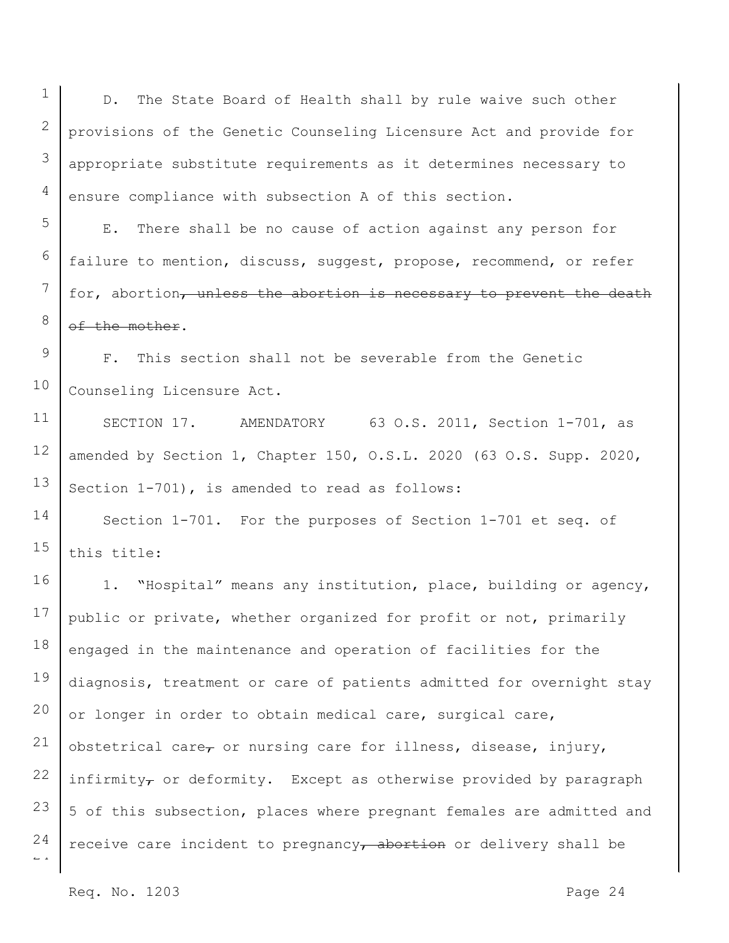1

D. The State Board of Health shall by rule waive such other provisions of the Genetic Counseling Licensure Act and provide for appropriate substitute requirements as it determines necessary to ensure compliance with subsection A of this section.

E. There shall be no cause of action against any person for failure to mention, discuss, suggest, propose, recommend, or refer for, abortion, unless the abortion is necessary to prevent the death of the mother.

F. This section shall not be severable from the Genetic Counseling Licensure Act.

SECTION 17. AMENDATORY 63 O.S. 2011, Section 1-701, as amended by Section 1, Chapter 150, O.S.L. 2020 (63 O.S. Supp. 2020, Section 1-701), is amended to read as follows:

Section 1-701. For the purposes of Section 1-701 et seq. of this title:

1. "Hospital" means any institution, place, building or agency, public or private, whether organized for profit or not, primarily engaged in the maintenance and operation of facilities for the diagnosis, treatment or care of patients admitted for overnight stay or longer in order to obtain medical care, surgical care, obstetrical care $_{\tau}$  or nursing care for illness, disease, injury, infirmity $_{\tau}$  or deformity. Except as otherwise provided by paragraph 5 of this subsection, places where pregnant females are admitted and receive care incident to pregnancy $\tau$  abortion or delivery shall be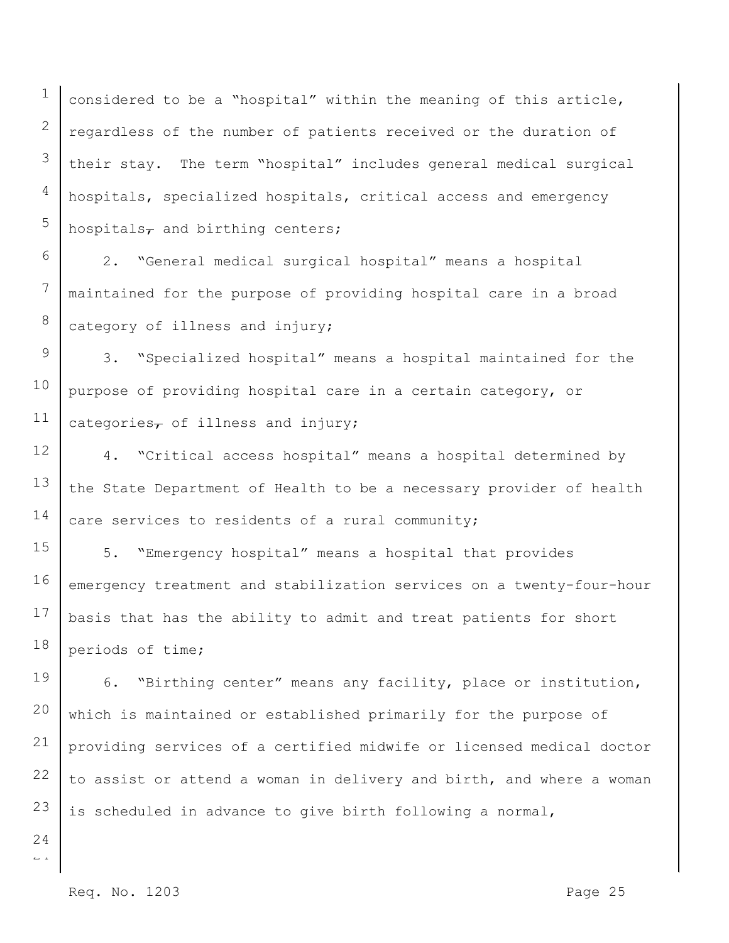1 2 3 4 5 considered to be a "hospital" within the meaning of this article, regardless of the number of patients received or the duration of their stay. The term "hospital" includes general medical surgical hospitals, specialized hospitals, critical access and emergency hospitals $\tau$  and birthing centers;

6 7 8 2. "General medical surgical hospital" means a hospital maintained for the purpose of providing hospital care in a broad category of illness and injury;

9 10 11 3. "Specialized hospital" means a hospital maintained for the purpose of providing hospital care in a certain category, or categories $\tau$  of illness and injury;

12 13 14 4. "Critical access hospital" means a hospital determined by the State Department of Health to be a necessary provider of health care services to residents of a rural community;

15 16 17 18 5. "Emergency hospital" means a hospital that provides emergency treatment and stabilization services on a twenty-four-hour basis that has the ability to admit and treat patients for short periods of time;

19 20 21 6. "Birthing center" means any facility, place or institution, which is maintained or established primarily for the purpose of providing services of a certified midwife or licensed medical doctor to assist or attend a woman in delivery and birth, and where a woman is scheduled in advance to give birth following a normal,

22 23 24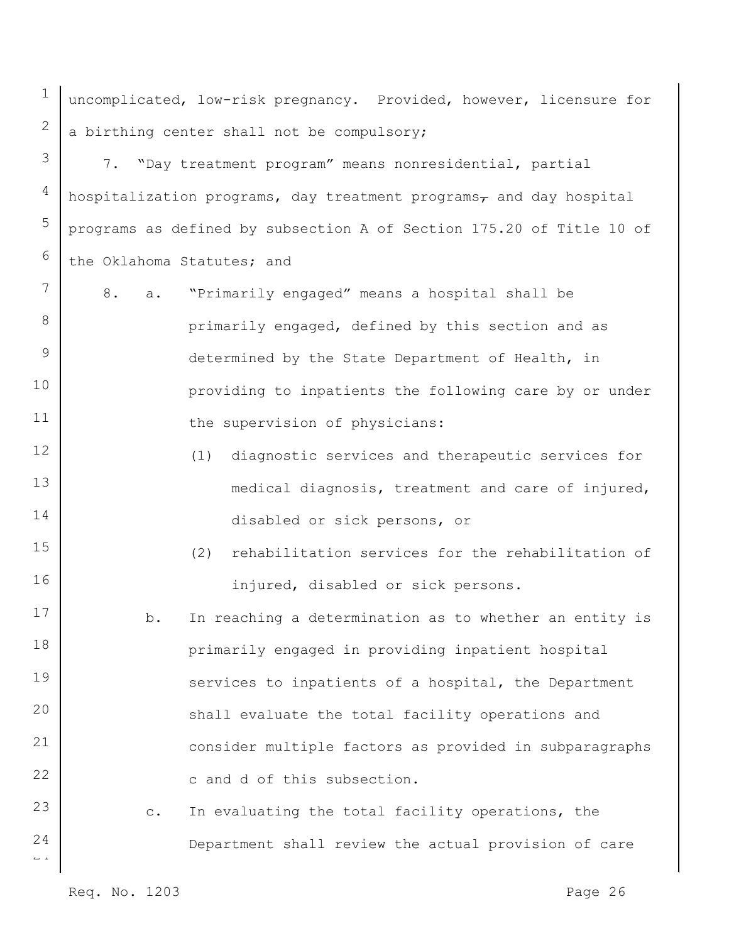uncomplicated, low-risk pregnancy. Provided, however, licensure for a birthing center shall not be compulsory;

3 4 5 6 7. "Day treatment program" means nonresidential, partial hospitalization programs, day treatment programs $<sub>7</sub>$  and day hospital</sub> programs as defined by subsection A of Section 175.20 of Title 10 of the Oklahoma Statutes; and

- 8. a. "Primarily engaged" means a hospital shall be primarily engaged, defined by this section and as determined by the State Department of Health, in providing to inpatients the following care by or under the supervision of physicians:
	- (1) diagnostic services and therapeutic services for medical diagnosis, treatment and care of injured, disabled or sick persons, or
	- (2) rehabilitation services for the rehabilitation of injured, disabled or sick persons.
- 17 18 19 20 21 22 b. In reaching a determination as to whether an entity is primarily engaged in providing inpatient hospital services to inpatients of a hospital, the Department shall evaluate the total facility operations and consider multiple factors as provided in subparagraphs c and d of this subsection.
	- c. In evaluating the total facility operations, the Department shall review the actual provision of care

Req. No. 1203 **Page 26** 

 $\overline{a}$ 

24

23

1

2

7

8

9

10

11

12

13

14

15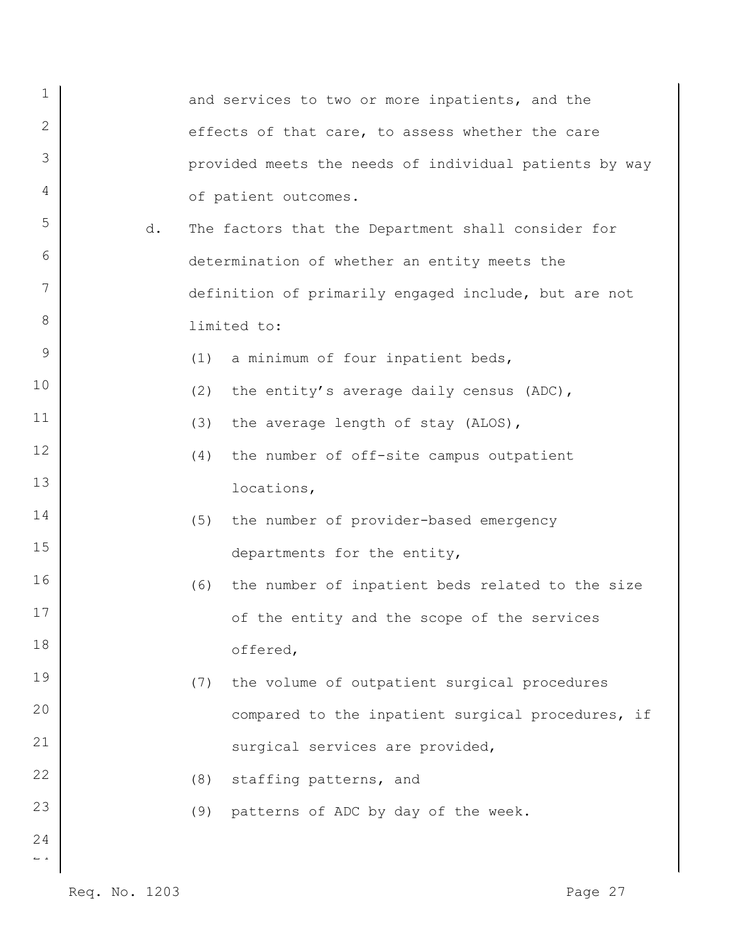| 1                              |    |     | and services to two or more inpatients, and the        |
|--------------------------------|----|-----|--------------------------------------------------------|
| 2                              |    |     | effects of that care, to assess whether the care       |
| 3                              |    |     | provided meets the needs of individual patients by way |
| 4                              |    |     | of patient outcomes.                                   |
| 5                              | d. |     | The factors that the Department shall consider for     |
| 6                              |    |     | determination of whether an entity meets the           |
| 7                              |    |     | definition of primarily engaged include, but are not   |
| 8                              |    |     | limited to:                                            |
| 9                              |    | (1) | a minimum of four inpatient beds,                      |
| 10                             |    | (2) | the entity's average daily census (ADC),               |
| 11                             |    | (3) | the average length of stay (ALOS),                     |
| 12                             |    | (4) | the number of off-site campus outpatient               |
| 13                             |    |     | locations,                                             |
| 14                             |    | (5) | the number of provider-based emergency                 |
| 15                             |    |     | departments for the entity,                            |
| 16                             |    | (6) | the number of inpatient beds related to the size       |
| 17                             |    |     | of the entity and the scope of the services            |
| 18                             |    |     | offered,                                               |
| 19                             |    | (7) | the volume of outpatient surgical procedures           |
| 20                             |    |     | compared to the inpatient surgical procedures, if      |
| 21                             |    |     | surgical services are provided,                        |
| 22                             |    | (8) | staffing patterns, and                                 |
| 23                             |    | (9) | patterns of ADC by day of the week.                    |
| 24<br>$\mathbb{L} \rightarrow$ |    |     |                                                        |
|                                |    |     |                                                        |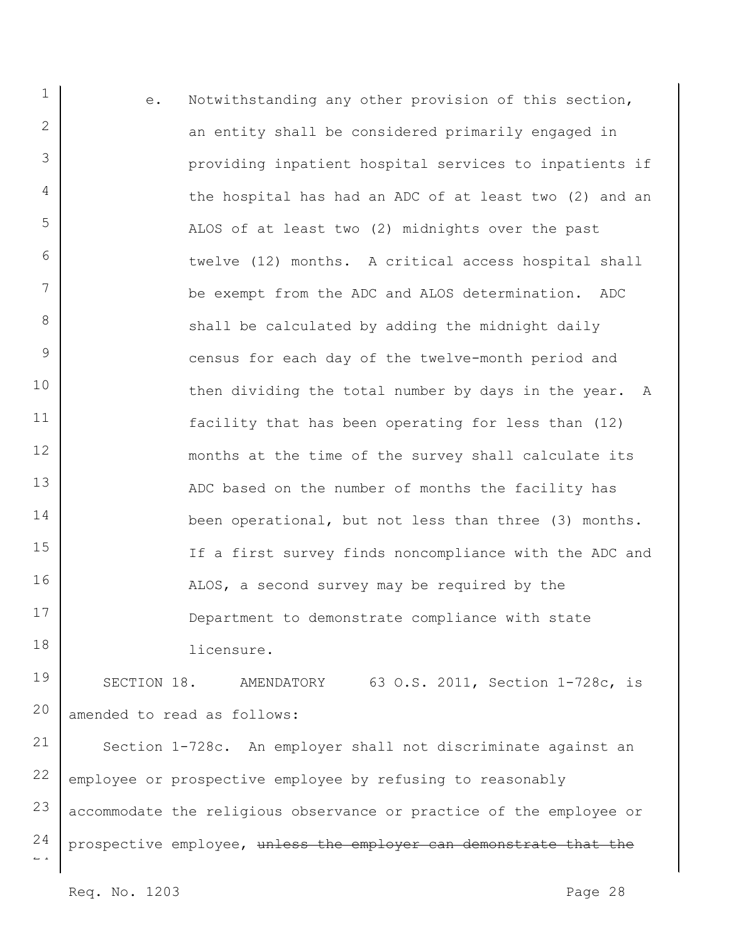1 2 3 4 5 6 7 8 9 10 11 12 13 14 15 16 17 18 e. Notwithstanding any other provision of this section, an entity shall be considered primarily engaged in providing inpatient hospital services to inpatients if the hospital has had an ADC of at least two (2) and an ALOS of at least two (2) midnights over the past twelve (12) months. A critical access hospital shall be exempt from the ADC and ALOS determination. ADC shall be calculated by adding the midnight daily census for each day of the twelve-month period and then dividing the total number by days in the year. A facility that has been operating for less than (12) months at the time of the survey shall calculate its ADC based on the number of months the facility has been operational, but not less than three (3) months. If a first survey finds noncompliance with the ADC and ALOS, a second survey may be required by the Department to demonstrate compliance with state licensure.

19 20 SECTION 18. AMENDATORY 63 O.S. 2011, Section 1-728c, is amended to read as follows:

 $\overline{a}$ 21 22 23 24 Section 1-728c. An employer shall not discriminate against an employee or prospective employee by refusing to reasonably accommodate the religious observance or practice of the employee or prospective employee, unless the employer can demonstrate that the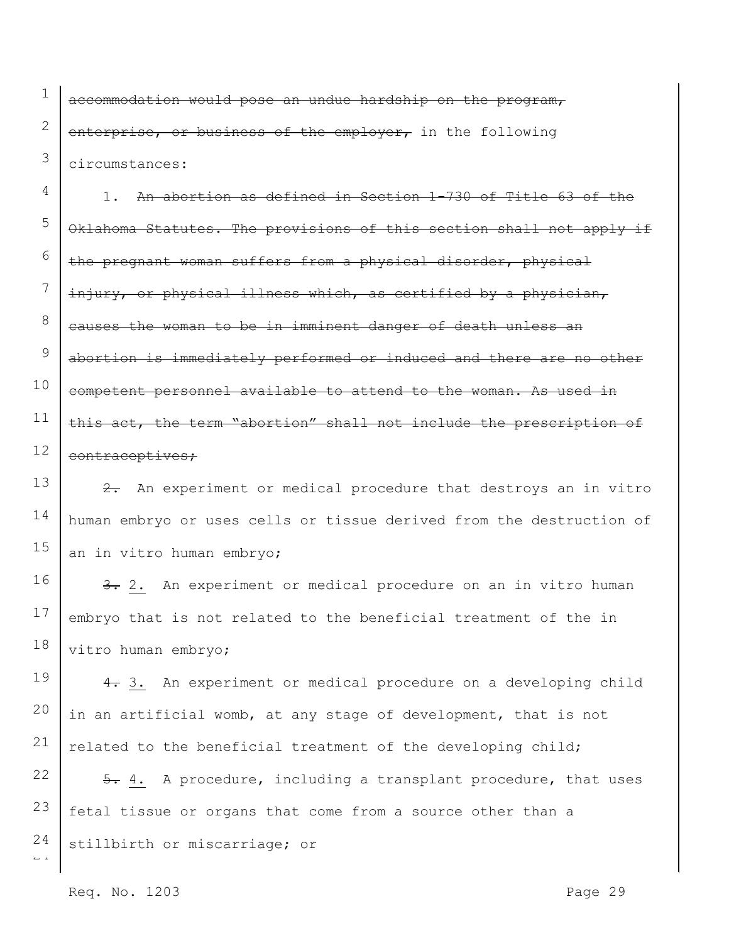1 2 3 accommodation would pose an undue hardship on the program, enterprise, or business of the employer, in the following circumstances:

4 5 6 7 8 9 10 11 12 1. An abortion as defined in Section 1-730 of Title 63 of the Oklahoma Statutes. The provisions of this section shall not apply if the pregnant woman suffers from a physical disorder, physical injury, or physical illness which, as certified by a physician, causes the woman to be in imminent danger of death unless an abortion is immediately performed or induced and there are no other competent personnel available to attend to the woman. As used in this act, the term "abortion" shall not include the prescription of contraceptives;

13 14 15 2. An experiment or medical procedure that destroys an in vitro human embryo or uses cells or tissue derived from the destruction of an in vitro human embryo;

16 17 18 3. 2. An experiment or medical procedure on an in vitro human embryo that is not related to the beneficial treatment of the in vitro human embryo;

19 20 21 4. 3. An experiment or medical procedure on a developing child in an artificial womb, at any stage of development, that is not related to the beneficial treatment of the developing child;

 $\overline{a}$ 22 23 24 5. 4. A procedure, including a transplant procedure, that uses fetal tissue or organs that come from a source other than a stillbirth or miscarriage; or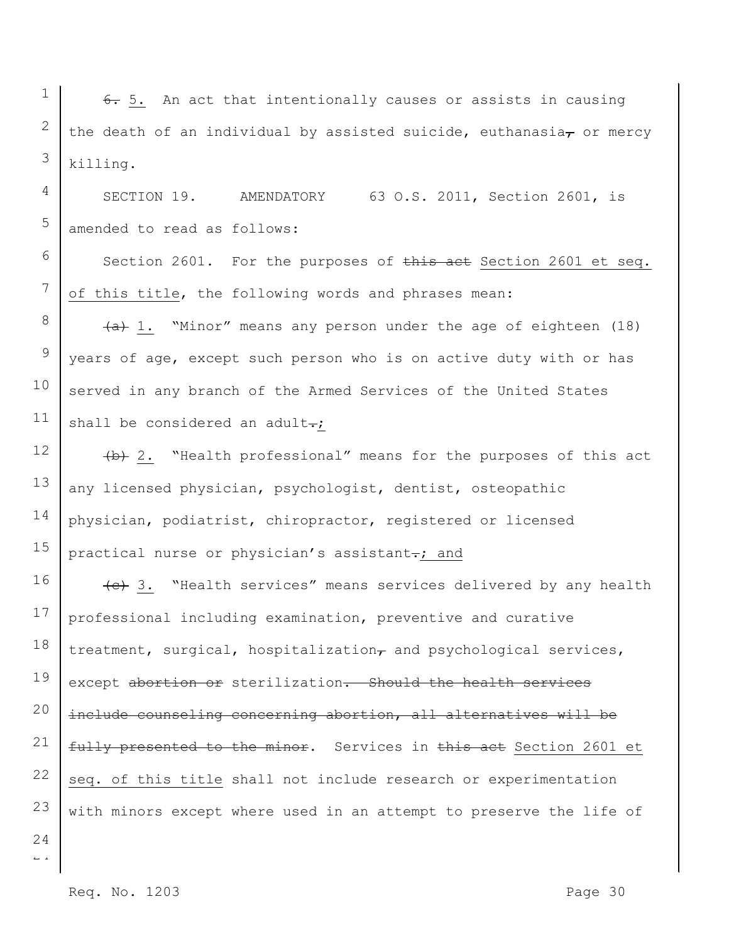1 2 3 6. 5. An act that intentionally causes or assists in causing the death of an individual by assisted suicide, euthanasia, or mercy killing.

SECTION 19. AMENDATORY 63 O.S. 2011, Section 2601, is amended to read as follows:

Section 2601. For the purposes of this act Section 2601 et seq. of this title, the following words and phrases mean:

 $\{a\}$  1. "Minor" means any person under the age of eighteen (18) years of age, except such person who is on active duty with or has served in any branch of the Armed Services of the United States shall be considered an adult-;

15 (b) 2. "Health professional" means for the purposes of this act any licensed physician, psychologist, dentist, osteopathic physician, podiatrist, chiropractor, registered or licensed practical nurse or physician's assistant-; and

16 17 18 19 20 21 (e) 3. "Health services" means services delivered by any health professional including examination, preventive and curative treatment, surgical, hospitalization $_{\tau}$  and psychological services, except abortion or sterilization. Should the health services include counseling concerning abortion, all alternatives will be fully presented to the minor. Services in this act Section 2601 et seq. of this title shall not include research or experimentation with minors except where used in an attempt to preserve the life of

22 23 24

4

5

6

7

8

9

10

11

12

13

14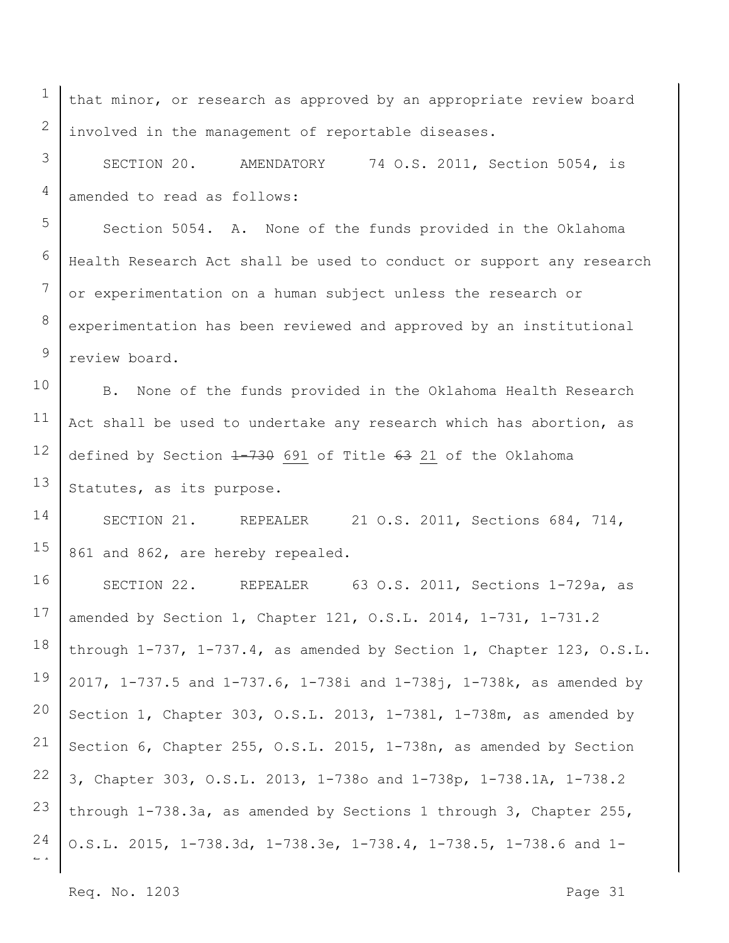that minor, or research as approved by an appropriate review board involved in the management of reportable diseases.

SECTION 20. AMENDATORY 74 O.S. 2011, Section 5054, is amended to read as follows:

Section 5054. A. None of the funds provided in the Oklahoma Health Research Act shall be used to conduct or support any research or experimentation on a human subject unless the research or experimentation has been reviewed and approved by an institutional review board.

10 11 12 13 B. None of the funds provided in the Oklahoma Health Research Act shall be used to undertake any research which has abortion, as defined by Section 1-730 691 of Title 63 21 of the Oklahoma Statutes, as its purpose.

14 15 SECTION 21. REPEALER 21 O.S. 2011, Sections 684, 714, 861 and 862, are hereby repealed.

 $\overline{a}$ 16 17 18 19 20 21 22 23 24 SECTION 22. REPEALER 63 O.S. 2011, Sections 1-729a, as amended by Section 1, Chapter 121, O.S.L. 2014, 1-731, 1-731.2 through 1-737, 1-737.4, as amended by Section 1, Chapter 123, O.S.L. 2017, 1-737.5 and 1-737.6, 1-738i and 1-738j, 1-738k, as amended by Section 1, Chapter 303, O.S.L. 2013, 1-738l, 1-738m, as amended by Section 6, Chapter 255, O.S.L. 2015, 1-738n, as amended by Section 3, Chapter 303, O.S.L. 2013, 1-738o and 1-738p, 1-738.1A, 1-738.2 through 1-738.3a, as amended by Sections 1 through 3, Chapter 255, O.S.L. 2015, 1-738.3d, 1-738.3e, 1-738.4, 1-738.5, 1-738.6 and 1-

Req. No. 1203 **Page 31** 

1

2

3

4

5

6

7

8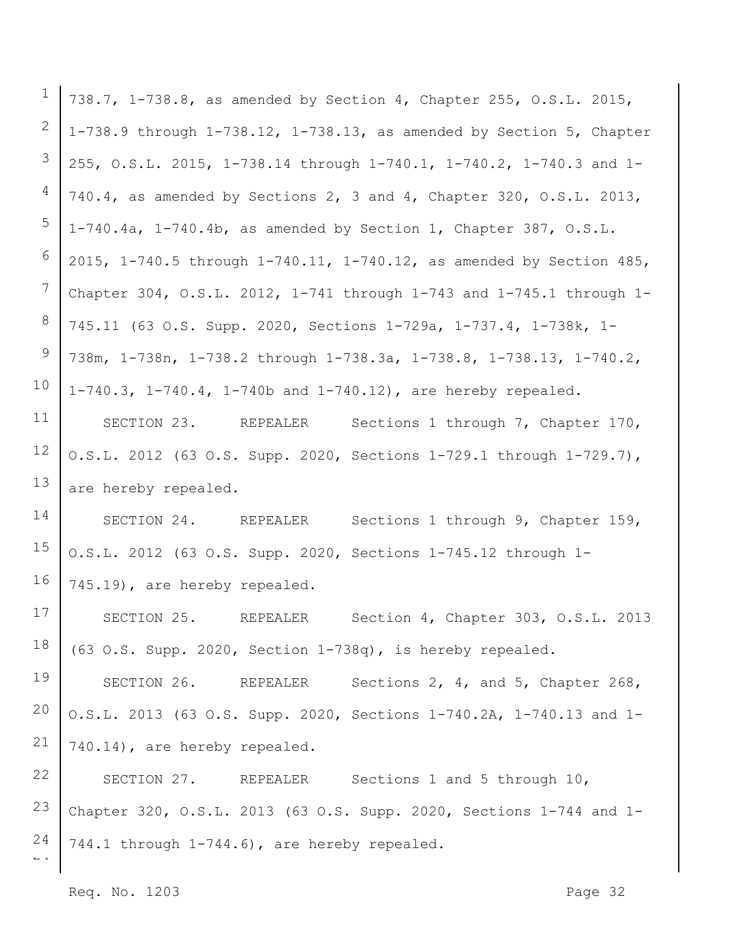| $\mathbf 1$                    | 738.7, 1-738.8, as amended by Section 4, Chapter 255, O.S.L. 2015,         |
|--------------------------------|----------------------------------------------------------------------------|
| 2                              | 1-738.9 through $1-738.12$ , $1-738.13$ , as amended by Section 5, Chapter |
| 3                              | 255, O.S.L. 2015, 1-738.14 through 1-740.1, 1-740.2, 1-740.3 and 1-        |
| 4                              | 740.4, as amended by Sections 2, 3 and 4, Chapter 320, O.S.L. 2013,        |
| 5                              | $1-740.4a$ , $1-740.4b$ , as amended by Section 1, Chapter 387, O.S.L.     |
| 6                              | 2015, 1-740.5 through 1-740.11, 1-740.12, as amended by Section 485,       |
| $7\phantom{.}$                 | Chapter 304, O.S.L. 2012, 1-741 through 1-743 and 1-745.1 through 1-       |
| 8                              | 745.11 (63 O.S. Supp. 2020, Sections 1-729a, 1-737.4, 1-738k, 1-           |
| 9                              | 738m, 1-738n, 1-738.2 through 1-738.3a, 1-738.8, 1-738.13, 1-740.2,        |
| 10                             | 1-740.3, 1-740.4, 1-740b and 1-740.12), are hereby repealed.               |
| 11                             | SECTION 23. REPEALER<br>Sections 1 through 7, Chapter 170,                 |
| 12                             | O.S.L. 2012 (63 O.S. Supp. 2020, Sections 1-729.1 through 1-729.7),        |
| 13                             | are hereby repealed.                                                       |
| 14                             | Sections 1 through 9, Chapter 159,<br>SECTION 24. REPEALER                 |
| 15                             | O.S.L. 2012 (63 O.S. Supp. 2020, Sections 1-745.12 through 1-              |
| 16                             | 745.19), are hereby repealed.                                              |
| 17                             | SECTION 25. REPEALER Section 4, Chapter 303, O.S.L. 2013                   |
| 18                             | (63 O.S. Supp. 2020, Section 1-738q), is hereby repealed.                  |
| 19                             | SECTION 26. REPEALER<br>Sections 2, 4, and 5, Chapter 268,                 |
| 20                             | O.S.L. 2013 (63 O.S. Supp. 2020, Sections 1-740.2A, 1-740.13 and 1-        |
| 21                             | 740.14), are hereby repealed.                                              |
| 22                             | SECTION 27. REPEALER Sections 1 and 5 through 10,                          |
| 23                             | Chapter 320, O.S.L. 2013 (63 O.S. Supp. 2020, Sections 1-744 and 1-        |
| 24<br>$\mathbb{L} \rightarrow$ | 744.1 through 1-744.6), are hereby repealed.                               |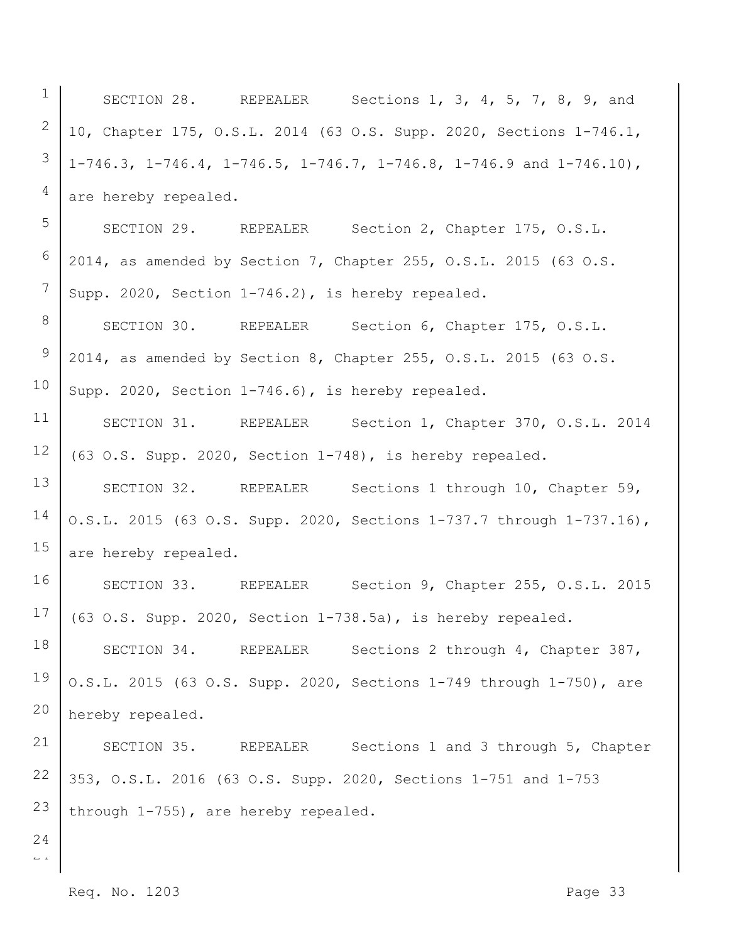| $\mathbf 1$                                  | Sections 1, 3, 4, 5, 7, 8, 9, and<br>SECTION 28. REPEALER                              |
|----------------------------------------------|----------------------------------------------------------------------------------------|
| 2                                            | 10, Chapter 175, O.S.L. 2014 (63 O.S. Supp. 2020, Sections 1-746.1,                    |
| 3                                            | $1-746.3$ , $1-746.4$ , $1-746.5$ , $1-746.7$ , $1-746.8$ , $1-746.9$ and $1-746.10$ , |
| $\overline{4}$                               | are hereby repealed.                                                                   |
| 5                                            | SECTION 29. REPEALER<br>Section 2, Chapter 175, O.S.L.                                 |
| 6                                            | 2014, as amended by Section 7, Chapter 255, O.S.L. 2015 (63 O.S.                       |
| 7                                            | Supp. 2020, Section 1-746.2), is hereby repealed.                                      |
| 8                                            | SECTION 30. REPEALER<br>Section 6, Chapter 175, O.S.L.                                 |
| 9                                            | 2014, as amended by Section 8, Chapter 255, O.S.L. 2015 (63 O.S.                       |
| 10                                           | Supp. 2020, Section 1-746.6), is hereby repealed.                                      |
| 11                                           | SECTION 31. REPEALER<br>Section 1, Chapter 370, O.S.L. 2014                            |
| 12                                           | (63 O.S. Supp. 2020, Section 1-748), is hereby repealed.                               |
| 13                                           | SECTION 32. REPEALER<br>Sections 1 through 10, Chapter 59,                             |
| 14                                           | O.S.L. 2015 (63 O.S. Supp. 2020, Sections 1-737.7 through 1-737.16),                   |
| 15                                           | are hereby repealed.                                                                   |
| 16                                           | SECTION 33. REPEALER<br>Section 9, Chapter 255, O.S.L. 2015                            |
| 17                                           | (63 O.S. Supp. 2020, Section 1-738.5a), is hereby repealed.                            |
| 18                                           | SECTION 34. REPEALER<br>Sections 2 through 4, Chapter 387,                             |
| 19                                           | O.S.L. 2015 (63 O.S. Supp. 2020, Sections 1-749 through 1-750), are                    |
| 20                                           | hereby repealed.                                                                       |
| 21                                           | SECTION 35. REPEALER<br>Sections 1 and 3 through 5, Chapter                            |
| 22                                           | 353, O.S.L. 2016 (63 O.S. Supp. 2020, Sections 1-751 and 1-753                         |
| 23                                           | through 1-755), are hereby repealed.                                                   |
| 24<br>$\mathbb{L}^{\mathbb{L}}$ $\mathbb{L}$ |                                                                                        |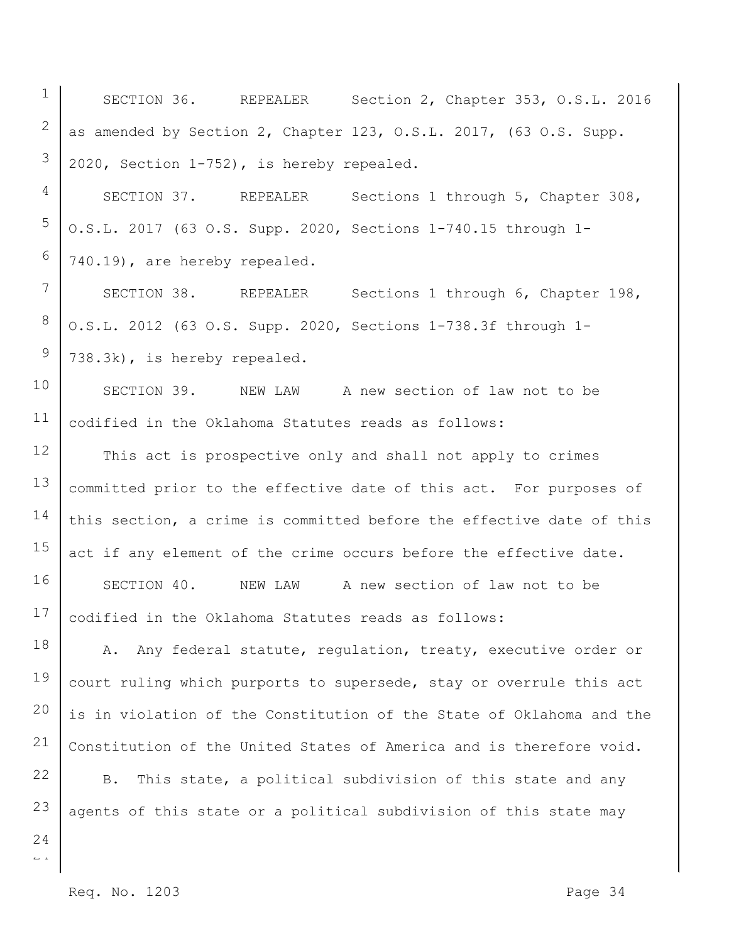1 2 3 SECTION 36. REPEALER Section 2, Chapter 353, O.S.L. 2016 as amended by Section 2, Chapter 123, O.S.L. 2017, (63 O.S. Supp. 2020, Section 1-752), is hereby repealed.

4 5 6 SECTION 37. REPEALER Sections 1 through 5, Chapter 308, O.S.L. 2017 (63 O.S. Supp. 2020, Sections 1-740.15 through 1- 740.19), are hereby repealed.

7 SECTION 38. REPEALER Sections 1 through 6, Chapter 198, O.S.L. 2012 (63 O.S. Supp. 2020, Sections 1-738.3f through 1- 738.3k), is hereby repealed.

10 11 SECTION 39. NEW LAW A new section of law not to be codified in the Oklahoma Statutes reads as follows:

12 13 14 15 16 17 This act is prospective only and shall not apply to crimes committed prior to the effective date of this act. For purposes of this section, a crime is committed before the effective date of this act if any element of the crime occurs before the effective date. SECTION 40. NEW LAW A new section of law not to be codified in the Oklahoma Statutes reads as follows:

18 19 20 21 A. Any federal statute, regulation, treaty, executive order or court ruling which purports to supersede, stay or overrule this act is in violation of the Constitution of the State of Oklahoma and the Constitution of the United States of America and is therefore void.

22 23 B. This state, a political subdivision of this state and any agents of this state or a political subdivision of this state may

 $\overline{a}$ 24

8